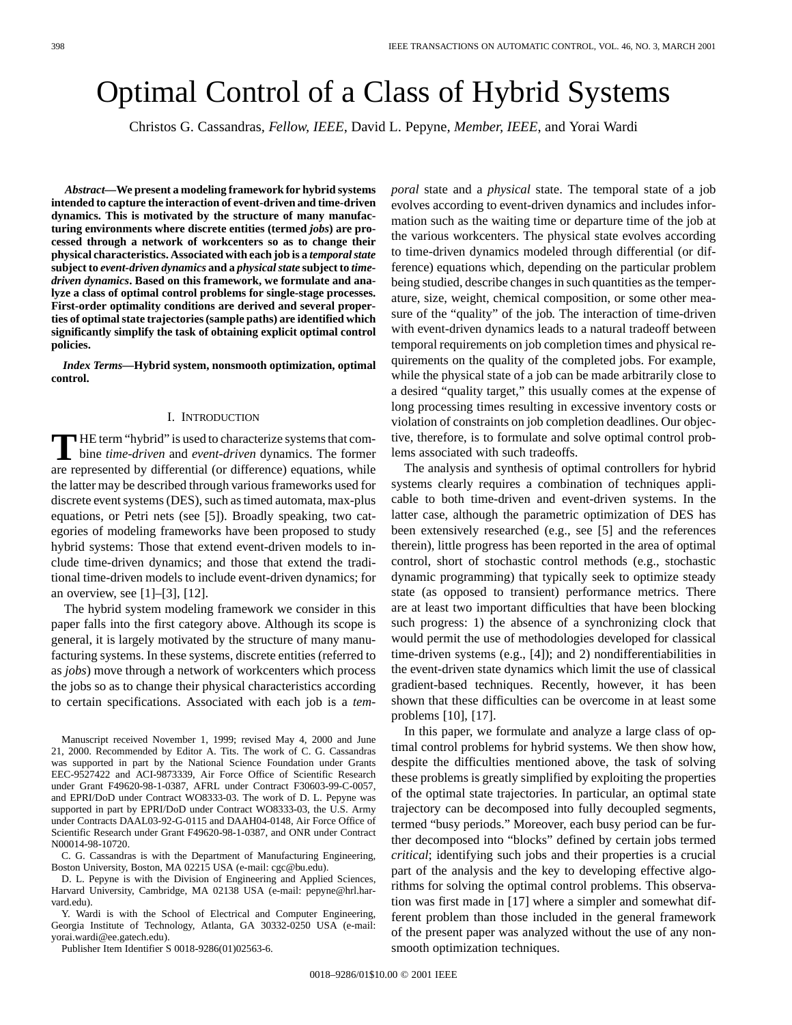# Optimal Control of a Class of Hybrid Systems

Christos G. Cassandras*, Fellow, IEEE*, David L. Pepyne*, Member, IEEE*, and Yorai Wardi

*Abstract—***We present a modeling framework for hybrid systems intended to capture the interaction of event-driven and time-driven dynamics. This is motivated by the structure of many manufacturing environments where discrete entities (termed** *jobs***) are processed through a network of workcenters so as to change their physical characteristics. Associated with each job is a** *temporal state* **subject to** *event-driven dynamics* **and a** *physical state* **subject to** *timedriven dynamics***. Based on this framework, we formulate and analyze a class of optimal control problems for single-stage processes. First-order optimality conditions are derived and several properties of optimal state trajectories (sample paths) are identified which significantly simplify the task of obtaining explicit optimal control policies.**

*Index Terms—***Hybrid system, nonsmooth optimization, optimal control.**

### I. INTRODUCTION

**T** HE term "hybrid" is used to characterize systems that combine *time-driven* and *event-driven* dynamics. The former are represented by differential (or difference) equations, while the latter may be described through various frameworks used for discrete event systems (DES), such as timed automata, max-plus equations, or Petri nets (see [5]). Broadly speaking, two categories of modeling frameworks have been proposed to study hybrid systems: Those that extend event-driven models to include time-driven dynamics; and those that extend the traditional time-driven models to include event-driven dynamics; for an overview, see [1]–[3], [12].

The hybrid system modeling framework we consider in this paper falls into the first category above. Although its scope is general, it is largely motivated by the structure of many manufacturing systems. In these systems, discrete entities (referred to as *jobs*) move through a network of workcenters which process the jobs so as to change their physical characteristics according to certain specifications. Associated with each job is a *tem-*

Manuscript received November 1, 1999; revised May 4, 2000 and June 21, 2000. Recommended by Editor A. Tits. The work of C. G. Cassandras was supported in part by the National Science Foundation under Grants EEC-9527422 and ACI-9873339, Air Force Office of Scientific Research under Grant F49620-98-1-0387, AFRL under Contract F30603-99-C-0057, and EPRI/DoD under Contract WO8333-03. The work of D. L. Pepyne was supported in part by EPRI/DoD under Contract WO8333-03, the U.S. Army under Contracts DAAL03-92-G-0115 and DAAH04-0148, Air Force Office of Scientific Research under Grant F49620-98-1-0387, and ONR under Contract N00014-98-10720.

C. G. Cassandras is with the Department of Manufacturing Engineering, Boston University, Boston, MA 02215 USA (e-mail: cgc@bu.edu).

D. L. Pepyne is with the Division of Engineering and Applied Sciences. Harvard University, Cambridge, MA 02138 USA (e-mail: pepyne@hrl.harvard.edu).

Y. Wardi is with the School of Electrical and Computer Engineering, Georgia Institute of Technology, Atlanta, GA 30332-0250 USA (e-mail: yorai.wardi@ee.gatech.edu).

Publisher Item Identifier S 0018-9286(01)02563-6.

*poral* state and a *physical* state. The temporal state of a job evolves according to event-driven dynamics and includes information such as the waiting time or departure time of the job at the various workcenters. The physical state evolves according to time-driven dynamics modeled through differential (or difference) equations which, depending on the particular problem being studied, describe changes in such quantities as the temperature, size, weight, chemical composition, or some other measure of the "quality" of the job. The interaction of time-driven with event-driven dynamics leads to a natural tradeoff between temporal requirements on job completion times and physical requirements on the quality of the completed jobs. For example, while the physical state of a job can be made arbitrarily close to a desired "quality target," this usually comes at the expense of long processing times resulting in excessive inventory costs or violation of constraints on job completion deadlines. Our objective, therefore, is to formulate and solve optimal control problems associated with such tradeoffs.

The analysis and synthesis of optimal controllers for hybrid systems clearly requires a combination of techniques applicable to both time-driven and event-driven systems. In the latter case, although the parametric optimization of DES has been extensively researched (e.g., see [5] and the references therein), little progress has been reported in the area of optimal control, short of stochastic control methods (e.g., stochastic dynamic programming) that typically seek to optimize steady state (as opposed to transient) performance metrics. There are at least two important difficulties that have been blocking such progress: 1) the absence of a synchronizing clock that would permit the use of methodologies developed for classical time-driven systems (e.g., [4]); and 2) nondifferentiabilities in the event-driven state dynamics which limit the use of classical gradient-based techniques. Recently, however, it has been shown that these difficulties can be overcome in at least some problems [10], [17].

In this paper, we formulate and analyze a large class of optimal control problems for hybrid systems. We then show how, despite the difficulties mentioned above, the task of solving these problems is greatly simplified by exploiting the properties of the optimal state trajectories. In particular, an optimal state trajectory can be decomposed into fully decoupled segments, termed "busy periods." Moreover, each busy period can be further decomposed into "blocks" defined by certain jobs termed *critical*; identifying such jobs and their properties is a crucial part of the analysis and the key to developing effective algorithms for solving the optimal control problems. This observation was first made in [17] where a simpler and somewhat different problem than those included in the general framework of the present paper was analyzed without the use of any nonsmooth optimization techniques.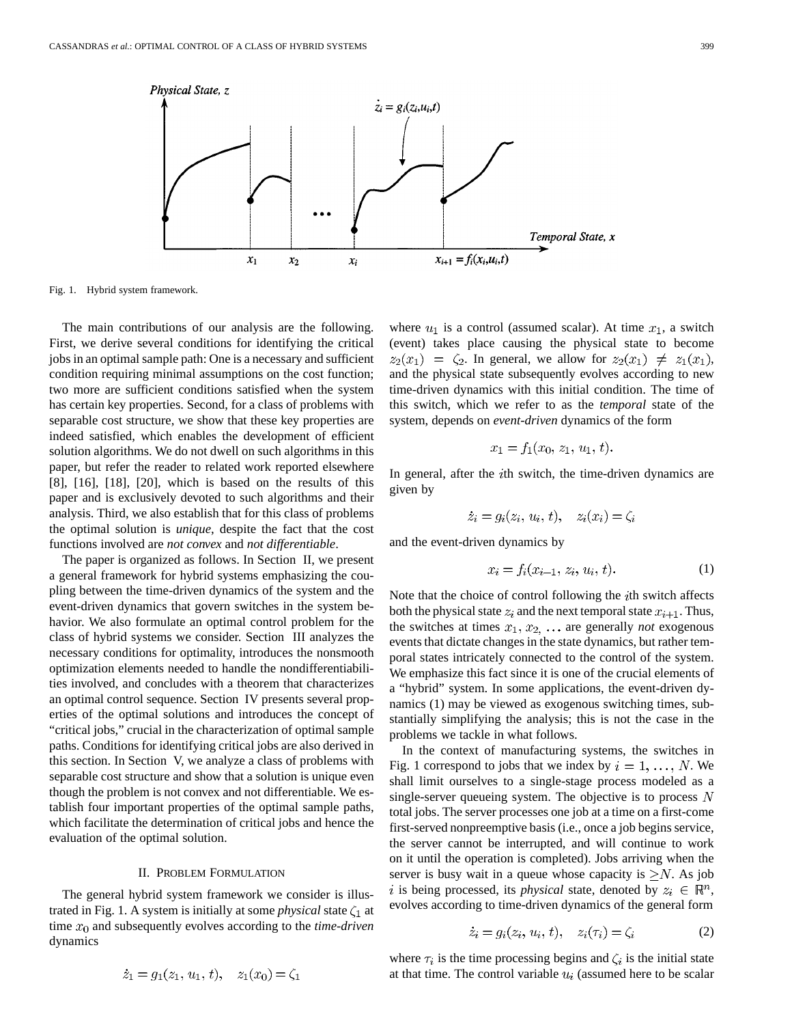

Fig. 1. Hybrid system framework.

The main contributions of our analysis are the following. First, we derive several conditions for identifying the critical jobs in an optimal sample path: One is a necessary and sufficient condition requiring minimal assumptions on the cost function; two more are sufficient conditions satisfied when the system has certain key properties. Second, for a class of problems with separable cost structure, we show that these key properties are indeed satisfied, which enables the development of efficient solution algorithms. We do not dwell on such algorithms in this paper, but refer the reader to related work reported elsewhere [8], [16], [18], [20], which is based on the results of this paper and is exclusively devoted to such algorithms and their analysis. Third, we also establish that for this class of problems the optimal solution is *unique*, despite the fact that the cost functions involved are *not convex* and *not differentiable*.

The paper is organized as follows. In Section II, we present a general framework for hybrid systems emphasizing the coupling between the time-driven dynamics of the system and the event-driven dynamics that govern switches in the system behavior. We also formulate an optimal control problem for the class of hybrid systems we consider. Section III analyzes the necessary conditions for optimality, introduces the nonsmooth optimization elements needed to handle the nondifferentiabilities involved, and concludes with a theorem that characterizes an optimal control sequence. Section IV presents several properties of the optimal solutions and introduces the concept of "critical jobs," crucial in the characterization of optimal sample paths. Conditions for identifying critical jobs are also derived in this section. In Section V, we analyze a class of problems with separable cost structure and show that a solution is unique even though the problem is not convex and not differentiable. We establish four important properties of the optimal sample paths, which facilitate the determination of critical jobs and hence the evaluation of the optimal solution.

## II. PROBLEM FORMULATION

The general hybrid system framework we consider is illustrated in Fig. 1. A system is initially at some *physical* state  $\zeta_1$  at time  $x_0$  and subsequently evolves according to the *time-driven* dynamics

 $\dot{z}_1 = q_1(z_1, u_1, t), \quad z_1(x_0) = \zeta_1$ 

where 
$$
u_1
$$
 is a control (assumed scalar). At time  $x_1$ , a switch  
(event) takes place causing the physical state to become  
 $z_2(x_1) = \zeta_2$ . In general, we allow for  $z_2(x_1) \neq z_1(x_1)$ ,  
and the physical state subsequently evolves according to new  
time-driven dynamics with this initial condition. The time of  
this switch, which we refer to as the *temporal* state of the  
system, depends on *event-driven* dynamics of the form

$$
x_1 = f_1(x_0, z_1, u_1, t).
$$

In general, after the  $i$ th switch, the time-driven dynamics are given by

$$
\dot{z}_i = g_i(z_i, u_i, t), \quad z_i(x_i) = \zeta_i
$$

and the event-driven dynamics by

$$
x_i = f_i(x_{i-1}, z_i, u_i, t). \tag{1}
$$

Note that the choice of control following the *i*th switch affects both the physical state  $z_i$  and the next temporal state  $x_{i+1}$ . Thus, the switches at times  $x_1, x_2, \ldots$  are generally *not* exogenous events that dictate changes in the state dynamics, but rather temporal states intricately connected to the control of the system. We emphasize this fact since it is one of the crucial elements of a "hybrid" system. In some applications, the event-driven dynamics (1) may be viewed as exogenous switching times, substantially simplifying the analysis; this is not the case in the problems we tackle in what follows.

In the context of manufacturing systems, the switches in Fig. 1 correspond to jobs that we index by  $i = 1, \ldots, N$ . We shall limit ourselves to a single-stage process modeled as a single-server queueing system. The objective is to process  $N$ total jobs. The server processes one job at a time on a first-come first-served nonpreemptive basis (i.e., once a job begins service, the server cannot be interrupted, and will continue to work on it until the operation is completed). Jobs arriving when the server is busy wait in a queue whose capacity is  $\geq N$ . As job is being processed, its *physical* state, denoted by  $z_i \in \mathbb{R}^n$ , evolves according to time-driven dynamics of the general form

$$
\dot{z}_i = g_i(z_i, u_i, t), \quad z_i(\tau_i) = \zeta_i \tag{2}
$$

where  $\tau_i$  is the time processing begins and  $\zeta_i$  is the initial state at that time. The control variable  $u_i$  (assumed here to be scalar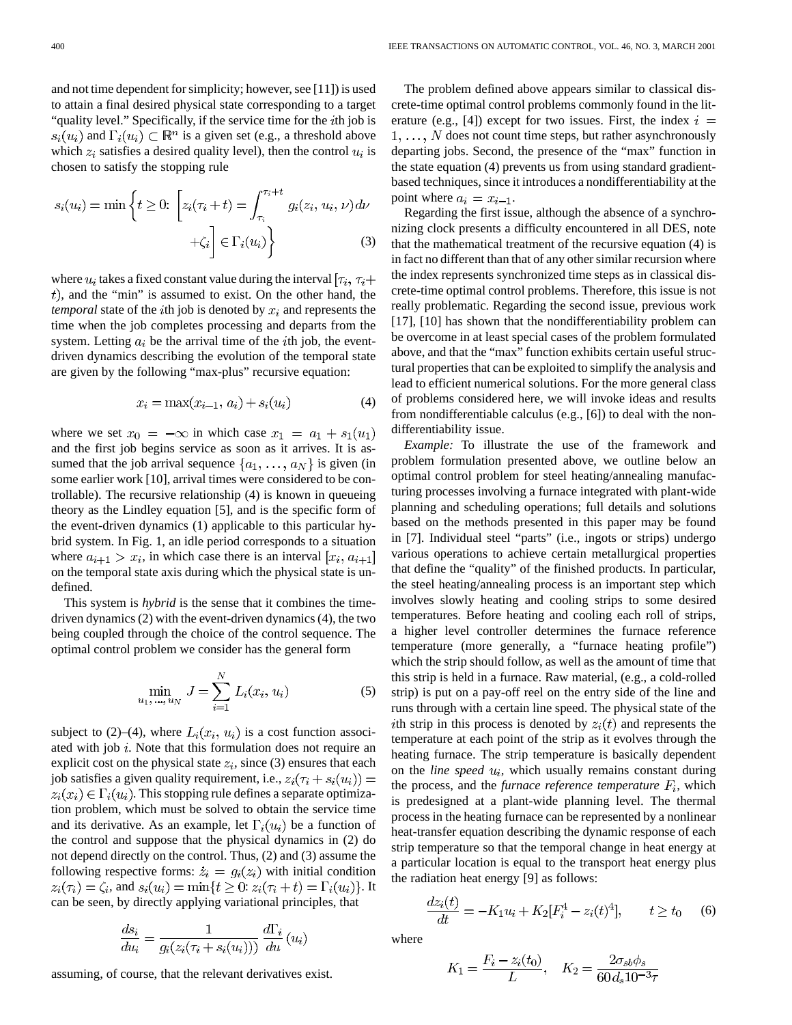and not time dependent for simplicity; however, see [11]) is used to attain a final desired physical state corresponding to a target "quality level." Specifically, if the service time for the  $i$ th job is  $s_i(u_i)$  and  $\Gamma_i(u_i) \subset \mathbb{R}^n$  is a given set (e.g., a threshold above which  $z_i$  satisfies a desired quality level), then the control  $u_i$  is chosen to satisfy the stopping rule

$$
s_i(u_i) = \min\left\{t \ge 0: \left[z_i(\tau_i + t) = \int_{\tau_i}^{\tau_i + t} g_i(z_i, u_i, \nu) d\nu + \zeta_i\right] \in \Gamma_i(u_i)\right\}
$$
(3)

where  $u_i$  takes a fixed constant value during the interval  $[\tau_i, \tau_i]$  $t$ ), and the "min" is assumed to exist. On the other hand, the *temporal* state of the *i*th job is denoted by  $x_i$  and represents the time when the job completes processing and departs from the system. Letting  $a_i$  be the arrival time of the *i*th job, the eventdriven dynamics describing the evolution of the temporal state are given by the following "max-plus" recursive equation:

$$
x_i = \max(x_{i-1}, a_i) + s_i(u_i)
$$
 (4)

where we set  $x_0 = -\infty$  in which case  $x_1 = a_1 + s_1(u_1)$ and the first job begins service as soon as it arrives. It is assumed that the job arrival sequence  $\{a_1, \ldots, a_N\}$  is given (in some earlier work [10], arrival times were considered to be controllable). The recursive relationship (4) is known in queueing theory as the Lindley equation [5], and is the specific form of the event-driven dynamics (1) applicable to this particular hybrid system. In Fig. 1, an idle period corresponds to a situation where  $a_{i+1} > x_i$ , in which case there is an interval  $[x_i, a_{i+1}]$ on the temporal state axis during which the physical state is undefined.

This system is *hybrid* is the sense that it combines the timedriven dynamics (2) with the event-driven dynamics (4), the two being coupled through the choice of the control sequence. The optimal control problem we consider has the general form

$$
\min_{u_1, \dots, u_N} J = \sum_{i=1}^N L_i(x_i, u_i)
$$
 (5)

subject to (2)–(4), where  $L_i(x_i, u_i)$  is a cost function associated with job  $i$ . Note that this formulation does not require an explicit cost on the physical state  $z_i$ , since (3) ensures that each job satisfies a given quality requirement, i.e.,  $z_i(\tau_i + s_i(u_i)) =$  $z_i(x_i) \in \Gamma_i(u_i)$ . This stopping rule defines a separate optimization problem, which must be solved to obtain the service time and its derivative. As an example, let  $\Gamma_i(u_i)$  be a function of the control and suppose that the physical dynamics in (2) do not depend directly on the control. Thus, (2) and (3) assume the following respective forms:  $\dot{z}_i = g_i(z_i)$  with initial condition  $z_i(\tau_i) = \zeta_i$ , and  $s_i(u_i) = \min\{t \geq 0 : z_i(\tau_i + t) = \Gamma_i(u_i)\}.$  It can be seen, by directly applying variational principles, that

$$
\frac{ds_i}{du_i} = \frac{1}{g_i(z_i(\tau_i + s_i(u_i)))} \frac{d\Gamma_i}{du}(u_i)
$$

assuming, of course, that the relevant derivatives exist.

The problem defined above appears similar to classical discrete-time optimal control problems commonly found in the literature (e.g., [4]) except for two issues. First, the index  $i =$  $1, \ldots, N$  does not count time steps, but rather asynchronously departing jobs. Second, the presence of the "max" function in the state equation (4) prevents us from using standard gradientbased techniques, since it introduces a nondifferentiability at the point where  $a_i = x_{i-1}$ .

Regarding the first issue, although the absence of a synchronizing clock presents a difficulty encountered in all DES, note that the mathematical treatment of the recursive equation (4) is in fact no different than that of any other similar recursion where the index represents synchronized time steps as in classical discrete-time optimal control problems. Therefore, this issue is not really problematic. Regarding the second issue, previous work [17], [10] has shown that the nondifferentiability problem can be overcome in at least special cases of the problem formulated above, and that the "max" function exhibits certain useful structural properties that can be exploited to simplify the analysis and lead to efficient numerical solutions. For the more general class of problems considered here, we will invoke ideas and results from nondifferentiable calculus (e.g., [6]) to deal with the nondifferentiability issue.

*Example:* To illustrate the use of the framework and problem formulation presented above, we outline below an optimal control problem for steel heating/annealing manufacturing processes involving a furnace integrated with plant-wide planning and scheduling operations; full details and solutions based on the methods presented in this paper may be found in [7]. Individual steel "parts" (i.e., ingots or strips) undergo various operations to achieve certain metallurgical properties that define the "quality" of the finished products. In particular, the steel heating/annealing process is an important step which involves slowly heating and cooling strips to some desired temperatures. Before heating and cooling each roll of strips, a higher level controller determines the furnace reference temperature (more generally, a "furnace heating profile") which the strip should follow, as well as the amount of time that this strip is held in a furnace. Raw material, (e.g., a cold-rolled strip) is put on a pay-off reel on the entry side of the line and runs through with a certain line speed. The physical state of the ith strip in this process is denoted by  $z_i(t)$  and represents the temperature at each point of the strip as it evolves through the heating furnace. The strip temperature is basically dependent on the *line speed*  $u_i$ , which usually remains constant during the process, and the *furnace reference temperature*  $F_i$ , which is predesigned at a plant-wide planning level. The thermal process in the heating furnace can be represented by a nonlinear heat-transfer equation describing the dynamic response of each strip temperature so that the temporal change in heat energy at a particular location is equal to the transport heat energy plus the radiation heat energy [9] as follows:

where

$$
\frac{dz_i(t)}{dt} = -K_1 u_i + K_2[F_i^4 - z_i(t)^4], \qquad t \ge t_0 \qquad (6)
$$

 $K_1 = \frac{F_i - z_i(t_0)}{L}$ ,  $K_2 = \frac{2\sigma_{sb}\phi_s}{60d_s 10^{-3}\tau}$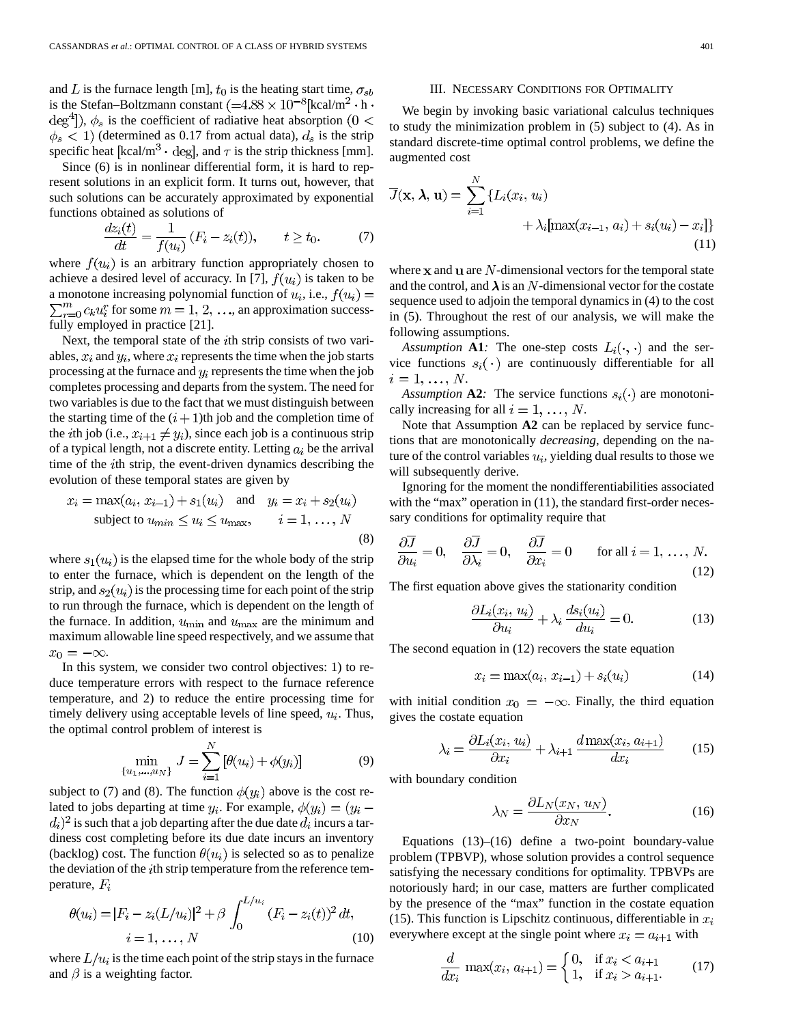and L is the furnace length [m],  $t_0$  is the heating start time,  $\sigma_{sb}$ is the Stefan–Boltzmann constant  $(=4.88 \times 10^{-8}$ [kcal/m<sup>2</sup> · h ·  $\deg^4$ ]),  $\phi_s$  is the coefficient of radiative heat absorption (0 <  $\phi_s$  < 1) (determined as 0.17 from actual data),  $d_s$  is the strip specific heat  $\lceil \text{kcal/m}^3 \cdot \text{deg} \rceil$ , and  $\tau$  is the strip thickness [mm].

Since (6) is in nonlinear differential form, it is hard to represent solutions in an explicit form. It turns out, however, that such solutions can be accurately approximated by exponential functions obtained as solutions of

$$
\frac{dz_i(t)}{dt} = \frac{1}{f(u_i)} (F_i - z_i(t)), \qquad t \ge t_0.
$$
 (7)

where  $f(u_i)$  is an arbitrary function appropriately chosen to achieve a desired level of accuracy. In [7],  $f(u_i)$  is taken to be a monotone increasing polynomial function of  $u_i$ , i.e.,  $f(u_i)$  =  $\sum_{r=0}^{m} c_k u_i^r$  for some  $m = 1, 2, \ldots$ , an approximation successfully employed in practice [21].

Next, the temporal state of the  $i$ th strip consists of two variables,  $x_i$  and  $y_i$ , where  $x_i$  represents the time when the job starts processing at the furnace and  $u_i$  represents the time when the job completes processing and departs from the system. The need for two variables is due to the fact that we must distinguish between the starting time of the  $(i + 1)$ th job and the completion time of the *i*th job (i.e.,  $x_{i+1} \neq y_i$ ), since each job is a continuous strip of a typical length, not a discrete entity. Letting  $a_i$  be the arrival time of the *i*th strip, the event-driven dynamics describing the evolution of these temporal states are given by

$$
x_i = \max(a_i, x_{i-1}) + s_1(u_i) \quad \text{and} \quad y_i = x_i + s_2(u_i)
$$
  
subject to  $u_{min} \le u_i \le u_{max}$ ,  $i = 1, ..., N$  (8)

where  $s_1(u_i)$  is the elapsed time for the whole body of the strip to enter the furnace, which is dependent on the length of the strip, and  $s_2(u_i)$  is the processing time for each point of the strip to run through the furnace, which is dependent on the length of the furnace. In addition,  $u_{\text{min}}$  and  $u_{\text{max}}$  are the minimum and maximum allowable line speed respectively, and we assume that  $x_0 = -\infty$ .

In this system, we consider two control objectives: 1) to reduce temperature errors with respect to the furnace reference temperature, and 2) to reduce the entire processing time for timely delivery using acceptable levels of line speed,  $u_i$ . Thus, the optimal control problem of interest is

$$
\min_{\{u_1,\dots,u_N\}} J = \sum_{i=1}^N \left[ \theta(u_i) + \phi(y_i) \right] \tag{9}
$$

subject to (7) and (8). The function  $\phi(y_i)$  above is the cost related to jobs departing at time  $y_i$ . For example,  $\phi(y_i) = (y_i$  $i,j$  is such that a job departing after the due date  $d_i$  incurs a tardiness cost completing before its due date incurs an inventory (backlog) cost. The function  $\theta(u_i)$  is selected so as to penalize the deviation of the  $i$ th strip temperature from the reference temperature,  $F_i$ 

$$
\theta(u_i) = |F_i - z_i(L/u_i)|^2 + \beta \int_0^{L/u_i} (F_i - z_i(t))^2 dt,
$$
  
\n $i = 1, ..., N$  (10)

where  $L/u_i$  is the time each point of the strip stays in the furnace and  $\beta$  is a weighting factor.

### III. NECESSARY CONDITIONS FOR OPTIMALITY

We begin by invoking basic variational calculus techniques to study the minimization problem in (5) subject to (4). As in standard discrete-time optimal control problems, we define the augmented cost

$$
\overline{J}(\mathbf{x}, \lambda, \mathbf{u}) = \sum_{i=1}^{N} \{L_i(x_i, u_i) + \lambda_i [\max(x_{i-1}, a_i) + s_i(u_i) - x_i]\}
$$
\n(11)

where  $x$  and  $u$  are  $N$ -dimensional vectors for the temporal state and the control, and  $\lambda$  is an N-dimensional vector for the costate sequence used to adjoin the temporal dynamics in (4) to the cost in (5). Throughout the rest of our analysis, we will make the following assumptions.

*Assumption* **A1***:* The one-step costs  $L_i(\cdot, \cdot)$  and the service functions  $s_i(\cdot)$  are continuously differentiable for all  $i=1,\ldots,N.$ 

*Assumption* **A2***:* The service functions  $s_i(\cdot)$  are monotonically increasing for all  $i = 1, \ldots, N$ .

Note that Assumption **A2** can be replaced by service functions that are monotonically *decreasing*, depending on the nature of the control variables  $u_i$ , yielding dual results to those we will subsequently derive.

Ignoring for the moment the nondifferentiabilities associated with the "max" operation in (11), the standard first-order necessary conditions for optimality require that

$$
\frac{\partial \overline{J}}{\partial u_i} = 0, \quad \frac{\partial \overline{J}}{\partial \lambda_i} = 0, \quad \frac{\partial \overline{J}}{\partial x_i} = 0 \quad \text{for all } i = 1, ..., N. \tag{12}
$$

The first equation above gives the stationarity condition

$$
\frac{\partial L_i(x_i, u_i)}{\partial u_i} + \lambda_i \frac{ds_i(u_i)}{du_i} = 0.
$$
 (13)

The second equation in (12) recovers the state equation

$$
x_i = \max(a_i, x_{i-1}) + s_i(u_i)
$$
 (14)

with initial condition  $x_0 = -\infty$ . Finally, the third equation gives the costate equation

$$
\lambda_i = \frac{\partial L_i(x_i, u_i)}{\partial x_i} + \lambda_{i+1} \frac{d \max(x_i, a_{i+1})}{dx_i} \tag{15}
$$

with boundary condition

$$
\lambda_N = \frac{\partial L_N(x_N, u_N)}{\partial x_N}.
$$
\n(16)

Equations (13)–(16) define a two-point boundary-value problem (TPBVP), whose solution provides a control sequence satisfying the necessary conditions for optimality. TPBVPs are notoriously hard; in our case, matters are further complicated by the presence of the "max" function in the costate equation (15). This function is Lipschitz continuous, differentiable in  $x_i$ everywhere except at the single point where  $x_i = a_{i+1}$  with

$$
\frac{d}{dx_i} \max(x_i, a_{i+1}) = \begin{cases} 0, & \text{if } x_i < a_{i+1} \\ 1, & \text{if } x_i > a_{i+1}. \end{cases}
$$
 (17)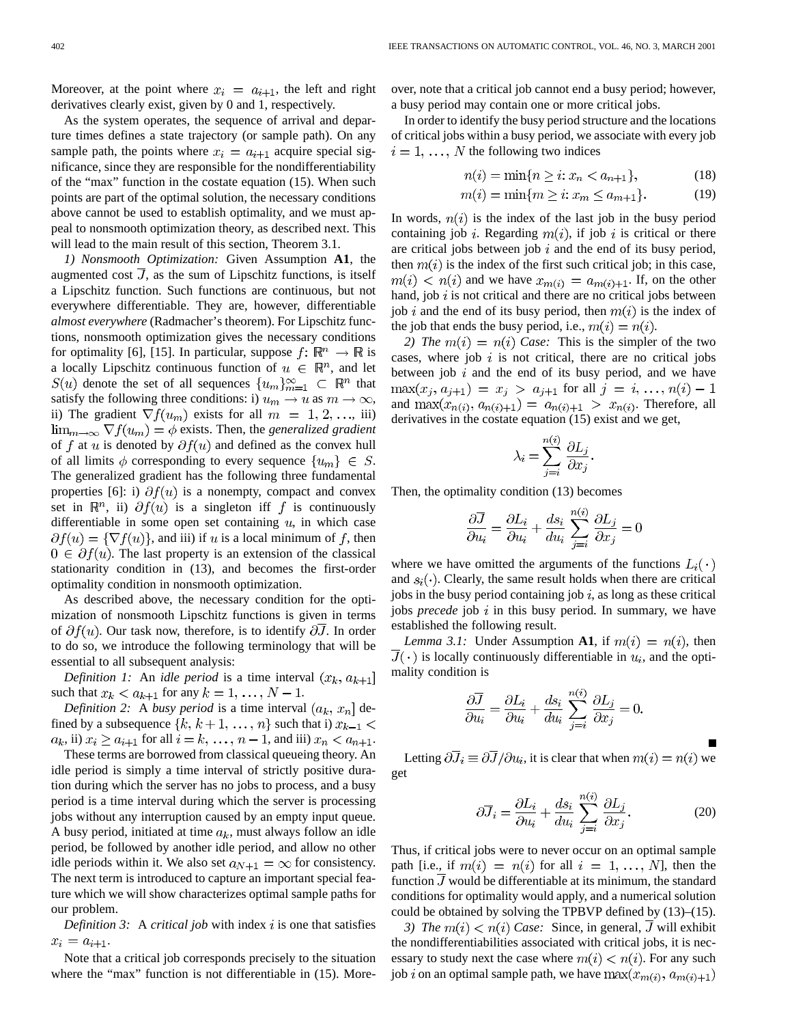Moreover, at the point where  $x_i = a_{i+1}$ , the left and right derivatives clearly exist, given by 0 and 1, respectively.

As the system operates, the sequence of arrival and departure times defines a state trajectory (or sample path). On any sample path, the points where  $x_i = a_{i+1}$  acquire special significance, since they are responsible for the nondifferentiability of the "max" function in the costate equation (15). When such points are part of the optimal solution, the necessary conditions above cannot be used to establish optimality, and we must appeal to nonsmooth optimization theory, as described next. This will lead to the main result of this section, Theorem 3.1.

*1) Nonsmooth Optimization:* Given Assumption **A1**, the augmented cost  $J$ , as the sum of Lipschitz functions, is itself a Lipschitz function. Such functions are continuous, but not everywhere differentiable. They are, however, differentiable *almost everywhere* (Radmacher's theorem). For Lipschitz functions, nonsmooth optimization gives the necessary conditions for optimality [6], [15]. In particular, suppose  $f: \mathbb{R}^n \to \mathbb{R}$  is a locally Lipschitz continuous function of  $u \in \mathbb{R}^n$ , and let  $S(u)$  denote the set of all sequences  $\{u_m\}_{m=1}^{\infty} \subset \mathbb{R}^n$  that satisfy the following three conditions: i)  $u_m \to u$  as  $m \to \infty$ , ii) The gradient  $\nabla f(u_m)$  exists for all  $m = 1, 2, \dots$ , iii)  $\lim_{m\to\infty} \nabla f(u_m) = \phi$  exists. Then, the *generalized gradient* of f at u is denoted by  $\partial f(u)$  and defined as the convex hull of all limits  $\phi$  corresponding to every sequence  $\{u_m\} \in S$ . The generalized gradient has the following three fundamental properties [6]: i)  $\partial f(u)$  is a nonempty, compact and convex set in  $\mathbb{R}^n$ , ii)  $\partial f(u)$  is a singleton iff f is continuously differentiable in some open set containing  $u$ , in which case  $\partial f(u) = \{\nabla f(u)\}\$ , and iii) if u is a local minimum of f, then  $0 \in \partial f(u)$ . The last property is an extension of the classical stationarity condition in (13), and becomes the first-order optimality condition in nonsmooth optimization.

As described above, the necessary condition for the optimization of nonsmooth Lipschitz functions is given in terms of  $\partial f(u)$ . Our task now, therefore, is to identify  $\partial J$ . In order to do so, we introduce the following terminology that will be essential to all subsequent analysis:

*Definition 1:* An *idle period* is a time interval  $(x_k, a_{k+1})$ such that  $x_k < a_{k+1}$  for any  $k = 1, \ldots, N-1$ .

*Definition 2:* A *busy period* is a time interval  $(a_k, x_n]$  defined by a subsequence  $\{k, k+1, \ldots, n\}$  such that i)  $x_{k-1}$  <  $a_k$ , ii)  $x_i \ge a_{i+1}$  for all  $i = k, \ldots, n-1$ , and iii)  $x_n < a_{n+1}$ .

These terms are borrowed from classical queueing theory. An idle period is simply a time interval of strictly positive duration during which the server has no jobs to process, and a busy period is a time interval during which the server is processing jobs without any interruption caused by an empty input queue. A busy period, initiated at time  $a_k$ , must always follow an idle period, be followed by another idle period, and allow no other idle periods within it. We also set  $a_{N+1} = \infty$  for consistency. The next term is introduced to capture an important special feature which we will show characterizes optimal sample paths for our problem.

*Definition 3:* A *critical job* with index  $i$  is one that satisfies  $x_i = a_{i+1}.$ 

Note that a critical job corresponds precisely to the situation where the "max" function is not differentiable in  $(15)$ . Moreover, note that a critical job cannot end a busy period; however, a busy period may contain one or more critical jobs.

In order to identify the busy period structure and the locations of critical jobs within a busy period, we associate with every job  $i = 1, \ldots, N$  the following two indices

$$
n(i) = \min\{n \ge i \colon x_n < a_{n+1}\},\tag{18}
$$

$$
m(i) = \min\{m \ge i \colon x_m \le a_{m+1}\}.
$$
 (19)

In words,  $n(i)$  is the index of the last job in the busy period containing job i. Regarding  $m(i)$ , if job i is critical or there are critical jobs between job  $i$  and the end of its busy period, then  $m(i)$  is the index of the first such critical job; in this case,  $m(i) < n(i)$  and we have  $x_{m(i)} = a_{m(i)+1}$ . If, on the other hand, job  $i$  is not critical and there are no critical jobs between job i and the end of its busy period, then  $m(i)$  is the index of the job that ends the busy period, i.e.,  $m(i) = n(i)$ .

*2)* The  $m(i) = n(i)$  Case: This is the simpler of the two cases, where job  $i$  is not critical, there are no critical jobs between job  $i$  and the end of its busy period, and we have  $max(x_j, a_{j+1}) = x_j > a_{j+1}$  for all  $j = i, ..., n(i) - 1$ and  $\max(x_{n(i)}, a_{n(i)+1}) = a_{n(i)+1} > x_{n(i)}$ . Therefore, all derivatives in the costate equation (15) exist and we get,

$$
\lambda_i = \sum_{j=i}^{n(i)} \frac{\partial L_j}{\partial x_j}.
$$

Then, the optimality condition (13) becomes

$$
\frac{\partial \overline{J}}{\partial u_i} = \frac{\partial L_i}{\partial u_i} + \frac{ds_i}{du_i} \sum_{j=i}^{n(i)} \frac{\partial L_j}{\partial x_j} = 0
$$

where we have omitted the arguments of the functions  $L_i(\cdot)$ and  $s_i(\cdot)$ . Clearly, the same result holds when there are critical jobs in the busy period containing job  $i$ , as long as these critical jobs *precede* job i in this busy period. In summary, we have established the following result.

*Lemma 3.1:* Under Assumption **A1**, if  $m(i) = n(i)$ , then  $\overline{J}(\cdot)$  is locally continuously differentiable in  $u_i$ , and the optimality condition is

$$
\frac{\partial \overline{J}}{\partial u_i} = \frac{\partial L_i}{\partial u_i} + \frac{ds_i}{du_i} \sum_{j=i}^{n(i)} \frac{\partial L_j}{\partial x_j} = 0.
$$

Letting  $\partial \overline{J}_i \equiv \partial \overline{J}/\partial u_i$ , it is clear that when  $m(i) = n(i)$  we get

$$
\partial \overline{J}_i = \frac{\partial L_i}{\partial u_i} + \frac{ds_i}{du_i} \sum_{j=i}^{n(i)} \frac{\partial L_j}{\partial x_j}.
$$
 (20)

Thus, if critical jobs were to never occur on an optimal sample path [i.e., if  $m(i) = n(i)$  for all  $i = 1, ..., N$ ], then the function  $\overline{J}$  would be differentiable at its minimum, the standard conditions for optimality would apply, and a numerical solution could be obtained by solving the TPBVP defined by (13)–(15).

*3)* The  $m(i) < n(i)$  Case: Since, in general,  $\overline{J}$  will exhibit the nondifferentiabilities associated with critical jobs, it is necessary to study next the case where  $m(i) < n(i)$ . For any such job *i* on an optimal sample path, we have  $\max(x_{m(i)}, a_{m(i)+1})$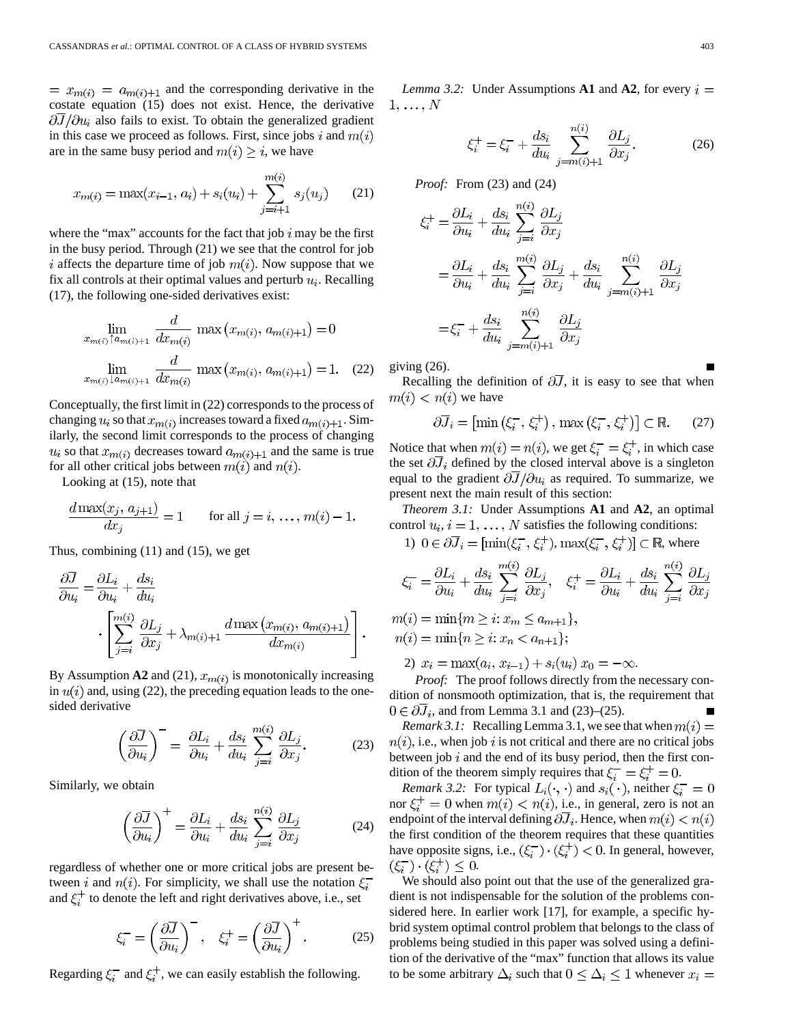$x_{m(i)} = a_{m(i)+1}$  and the corresponding derivative in the costate equation (15) does not exist. Hence, the derivative  $\partial \overline{J}/\partial u_i$  also fails to exist. To obtain the generalized gradient in this case we proceed as follows. First, since jobs i and  $m(i)$ are in the same busy period and  $m(i) \geq i$ , we have

$$
x_{m(i)} = \max(x_{i-1}, a_i) + s_i(u_i) + \sum_{j=i+1}^{m(i)} s_j(u_j)
$$
 (21)

where the "max" accounts for the fact that job  $i$  may be the first in the busy period. Through (21) we see that the control for job i affects the departure time of job  $m(i)$ . Now suppose that we fix all controls at their optimal values and perturb  $u_i$ . Recalling (17), the following one-sided derivatives exist:

$$
\lim_{x_{m(i)} \uparrow a_{m(i)+1}} \frac{d}{dx_{m(i)}} \max\left(x_{m(i)}, a_{m(i)+1}\right) = 0
$$
\n
$$
\lim_{x_{m(i)} \downarrow a_{m(i)+1}} \frac{d}{dx_{m(i)}} \max\left(x_{m(i)}, a_{m(i)+1}\right) = 1. \quad (22)
$$

Conceptually, the first limit in (22) corresponds to the process of changing  $u_i$  so that  $x_{m(i)}$  increases toward a fixed  $a_{m(i)+1}$ . Similarly, the second limit corresponds to the process of changing  $u_i$  so that  $x_{m(i)}$  decreases toward  $a_{m(i)+1}$  and the same is true for all other critical jobs between  $m(i)$  and  $n(i)$ .

Looking at (15), note that

$$
\frac{d \max(x_j, a_{j+1})}{dx_j} = 1 \quad \text{for all } j = i, \dots, m(i) - 1.
$$

Thus, combining (11) and (15), we get

$$
\frac{\partial \overline{J}}{\partial u_i} = \frac{\partial L_i}{\partial u_i} + \frac{ds_i}{du_i}
$$

$$
\cdot \left[ \sum_{j=i}^{m(i)} \frac{\partial L_j}{\partial x_j} + \lambda_{m(i)+1} \frac{d \max(x_{m(i)}, a_{m(i)+1})}{dx_{m(i)}} \right].
$$

By Assumption **A2** and (21),  $x_{m(i)}$  is monotonically increasing in  $u(i)$  and, using (22), the preceding equation leads to the onesided derivative

$$
\left(\frac{\partial \overline{J}}{\partial u_i}\right)^{-} = \frac{\partial L_i}{\partial u_i} + \frac{ds_i}{du_i} \sum_{j=i}^{m(i)} \frac{\partial L_j}{\partial x_j}.
$$
 (23)

Similarly, we obtain

$$
\left(\frac{\partial \overline{J}}{\partial u_i}\right)^+ = \frac{\partial L_i}{\partial u_i} + \frac{ds_i}{du_i} \sum_{j=i}^{n(i)} \frac{\partial L_j}{\partial x_j}
$$
(24)

regardless of whether one or more critical jobs are present between i and  $n(i)$ . For simplicity, we shall use the notation  $\xi_i^$ and  $\xi_i^+$  to denote the left and right derivatives above, i.e., set

$$
\xi_i^- = \left(\frac{\partial \overline{J}}{\partial u_i}\right)^-, \quad \xi_i^+ = \left(\frac{\partial \overline{J}}{\partial u_i}\right)^+.
$$
 (25)

Regarding  $\xi_i^-$  and  $\xi_i^+$ , we can easily establish the following.

*Lemma 3.2:* Under Assumptions **A1** and **A2**, for every  $i =$  $1, \ldots, N$ 

$$
\xi_i^+ = \xi_i^- + \frac{ds_i}{du_i} \sum_{j=m(i)+1}^{n(i)} \frac{\partial L_j}{\partial x_j}.
$$
 (26)

*Proof:* From (23) and (24)

$$
\xi_i^+ = \frac{\partial L_i}{\partial u_i} + \frac{ds_i}{du_i} \sum_{j=i}^{m(i)} \frac{\partial L_j}{\partial x_j}
$$
  
=  $\frac{\partial L_i}{\partial u_i} + \frac{ds_i}{du_i} \sum_{j=i}^{m(i)} \frac{\partial L_j}{\partial x_j} + \frac{ds_i}{du_i} \sum_{j=m(i)+1}^{n(i)} \frac{\partial L_j}{\partial x_j}$   
=  $\xi_i^- + \frac{ds_i}{du_i} \sum_{j=m(i)+1}^{n(i)} \frac{\partial L_j}{\partial x_j}$ 

giving (26).

Recalling the definition of  $\partial \overline{J}$ , it is easy to see that when  $m(i) < n(i)$  we have

$$
\partial \overline{J}_i = \left[ \min \left( \xi_i^-, \xi_i^+ \right), \max \left( \xi_i^-, \xi_i^+ \right) \right] \subset \mathbb{R}.
$$
 (27)

Notice that when  $m(i) = n(i)$ , we get  $\xi_i^- = \xi_i^+$ , in which case the set  $\partial \overline{J}_i$  defined by the closed interval above is a singleton equal to the gradient  $\partial \overline{J}/\partial u_i$  as required. To summarize, we present next the main result of this section:

*Theorem 3.1:* Under Assumptions **A1** and **A2**, an optimal control  $u_i$ ,  $i = 1, ..., N$  satisfies the following conditions:

1)  $0 \in \partial \overline{J}_i = [\min(\xi_i^-, \xi_i^+), \max(\xi_i^-, \xi_i^+)] \subset \mathbb{R}$ , where

$$
\xi_i^- = \frac{\partial L_i}{\partial u_i} + \frac{ds_i}{du_i} \sum_{j=i}^{m(i)} \frac{\partial L_j}{\partial x_j}, \quad \xi_i^+ = \frac{\partial L_i}{\partial u_i} + \frac{ds_i}{du_i} \sum_{j=i}^{n(i)} \frac{\partial L_j}{\partial x_j}
$$

 $m(i) = \min\{m \geq i : x_m \leq a_{m+1}\},\$  $n(i) = \min\{n \geq i : x_n < a_{n+1}\};$ 

2)  $x_i = \max(a_i, x_{i-1}) + s_i(u_i) x_0 = -\infty.$ 

*Proof:* The proof follows directly from the necessary condition of nonsmooth optimization, that is, the requirement that  $0 \in \partial J_i$ , and from Lemma 3.1 and (23)–(25).

*Remark 3.1:* Recalling Lemma 3.1, we see that when  $m(i)$  =  $n(i)$ , i.e., when job i is not critical and there are no critical jobs between job  $i$  and the end of its busy period, then the first condition of the theorem simply requires that  $\xi_i^- = \xi_i^+ = 0$ .

*Remark 3.2:* For typical  $L_i(\cdot, \cdot)$  and  $s_i(\cdot)$ , neither  $\xi_i^- = 0$ nor  $\xi_i^+ = 0$  when  $m(i) < n(i)$ , i.e., in general, zero is not an endpoint of the interval defining  $\partial J_i$ . Hence, when  $m(i) < n(i)$ the first condition of the theorem requires that these quantities have opposite signs, i.e.,  $(\xi_i^-) \cdot (\xi_i^+) < 0$ . In general, however,  $(\xi_i^-)\cdot(\xi_i^+) \leq 0.$ 

We should also point out that the use of the generalized gradient is not indispensable for the solution of the problems considered here. In earlier work [17], for example, a specific hybrid system optimal control problem that belongs to the class of problems being studied in this paper was solved using a definition of the derivative of the "max" function that allows its value to be some arbitrary  $\Delta_i$  such that  $0 \leq \Delta_i \leq 1$  whenever  $x_i =$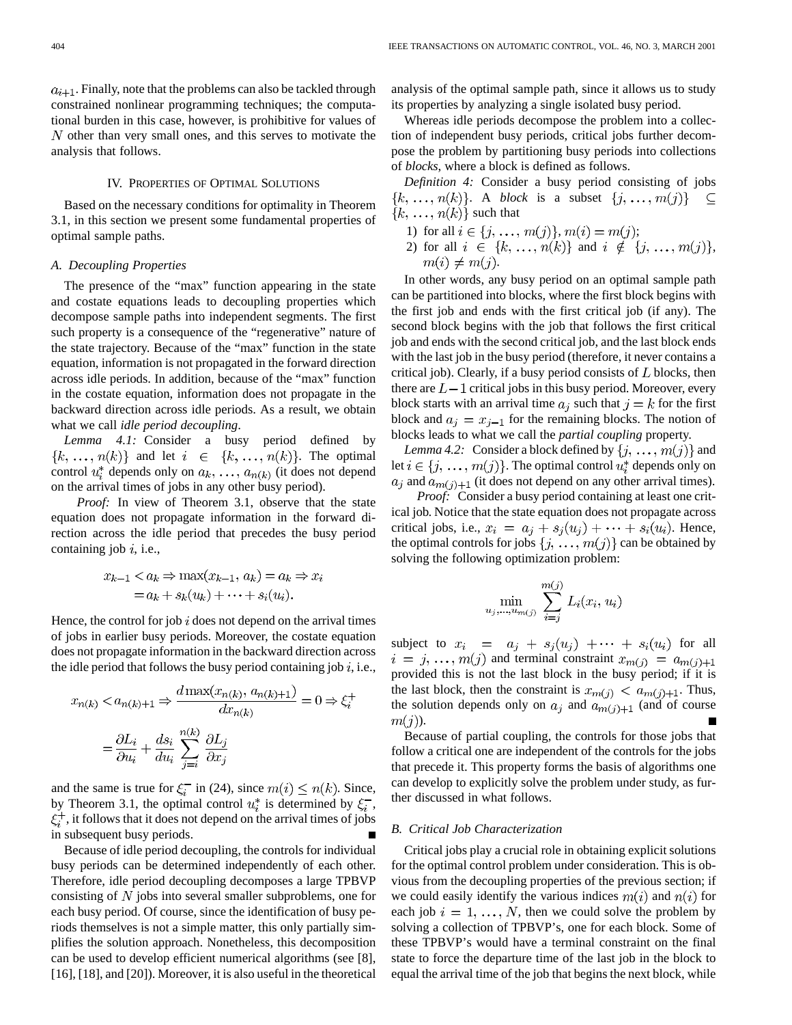$a_{i+1}$ . Finally, note that the problems can also be tackled through constrained nonlinear programming techniques; the computational burden in this case, however, is prohibitive for values of  $N$  other than very small ones, and this serves to motivate the analysis that follows.

## IV. PROPERTIES OF OPTIMAL SOLUTIONS

Based on the necessary conditions for optimality in Theorem 3.1, in this section we present some fundamental properties of optimal sample paths.

## *A. Decoupling Properties*

The presence of the "max" function appearing in the state and costate equations leads to decoupling properties which decompose sample paths into independent segments. The first such property is a consequence of the "regenerative" nature of the state trajectory. Because of the "max" function in the state equation, information is not propagated in the forward direction across idle periods. In addition, because of the "max" function in the costate equation, information does not propagate in the backward direction across idle periods. As a result, we obtain what we call *idle period decoupling*.

*Lemma 4.1:* Consider a busy period defined by  $\{k, \ldots, n(k)\}\$  and let  $i \in \{k, \ldots, n(k)\}\$ . The optimal control  $u_i^*$  depends only on  $a_k, \ldots, a_{n(k)}$  (it does not depend on the arrival times of jobs in any other busy period).

*Proof:* In view of Theorem 3.1, observe that the state equation does not propagate information in the forward direction across the idle period that precedes the busy period containing job  $i$ , i.e.,

$$
x_{k-1} < a_k \Rightarrow \max(x_{k-1}, a_k) = a_k \Rightarrow x_i
$$
\n
$$
= a_k + s_k(u_k) + \dots + s_i(u_i).
$$

Hence, the control for job  $i$  does not depend on the arrival times of jobs in earlier busy periods. Moreover, the costate equation does not propagate information in the backward direction across the idle period that follows the busy period containing job  $i$ , i.e.,

$$
x_{n(k)} < a_{n(k)+1} \Rightarrow \frac{d \max(x_{n(k)}, a_{n(k)+1})}{dx_{n(k)}} = 0 \Rightarrow \xi_i^+
$$
\n
$$
= \frac{\partial L_i}{\partial u_i} + \frac{ds_i}{du_i} \sum_{i=i}^{n(k)} \frac{\partial L_j}{\partial x_j}
$$

and the same is true for  $\xi_i^-$  in (24), since  $m(i) \le n(k)$ . Since, by Theorem 3.1, the optimal control  $u_i^*$  is determined by  $\xi_i^-$ ,  $\xi_i^+$ , it follows that it does not depend on the arrival times of jobs in subsequent busy periods.

Because of idle period decoupling, the controls for individual busy periods can be determined independently of each other. Therefore, idle period decoupling decomposes a large TPBVP consisting of  $N$  jobs into several smaller subproblems, one for each busy period. Of course, since the identification of busy periods themselves is not a simple matter, this only partially simplifies the solution approach. Nonetheless, this decomposition can be used to develop efficient numerical algorithms (see [8], [16], [18], and [20]). Moreover, it is also useful in the theoretical analysis of the optimal sample path, since it allows us to study its properties by analyzing a single isolated busy period.

Whereas idle periods decompose the problem into a collection of independent busy periods, critical jobs further decompose the problem by partitioning busy periods into collections of *blocks*, where a block is defined as follows.

*Definition 4:* Consider a busy period consisting of jobs  $\{k, \ldots, n(k)\}\$ . A *block* is a subset  $\{j, \ldots, m(j)\}\$  $\subseteq$  ${k, ..., n(k)}$  such that

1) for all  $i \in \{j, ..., m(j)\}, m(i) = m(j);$ 2) for all  $i \in \{k, \ldots, n(k)\}\$  and  $i \notin \{j, \ldots, m(j)\}\$ ,  $m(i) \neq m(j).$ 

In other words, any busy period on an optimal sample path can be partitioned into blocks, where the first block begins with the first job and ends with the first critical job (if any). The second block begins with the job that follows the first critical job and ends with the second critical job, and the last block ends with the last job in the busy period (therefore, it never contains a critical job). Clearly, if a busy period consists of  $L$  blocks, then there are  $L-1$  critical jobs in this busy period. Moreover, every block starts with an arrival time  $a_j$  such that  $j = k$  for the first block and  $a_j = x_{j-1}$  for the remaining blocks. The notion of blocks leads to what we call the *partial coupling* property.

*Lemma 4.2:* Consider a block defined by  $\{j, \ldots, m(j)\}\$ and let  $i \in \{j, \ldots, m(j)\}$ . The optimal control  $u_i^*$  depends only on  $a_i$  and  $a_{m(i)+1}$  (it does not depend on any other arrival times).

*Proof:* Consider a busy period containing at least one critical job. Notice that the state equation does not propagate across critical jobs, i.e.,  $x_i = a_i + s_i(u_i) + \cdots + s_i(u_i)$ . Hence, the optimal controls for jobs  $\{j, \ldots, m(j)\}$  can be obtained by solving the following optimization problem:

$$
\min_{u_j,\ldots,u_{m(j)}}\sum_{i=j}^{m(j)}L_i(x_i,u_i)
$$

subject to  $x_i = a_j + s_j(u_j) + \cdots + s_i(u_i)$  for all  $i = j, ..., m(j)$  and terminal constraint  $x_{m(j)} = a_{m(j)+1}$ provided this is not the last block in the busy period; if it is the last block, then the constraint is  $x_{m(j)} < a_{m(j)+1}$ . Thus, the solution depends only on  $a_j$  and  $a_{m(j)+1}$  (and of course  $m(j)$ ).

Because of partial coupling, the controls for those jobs that follow a critical one are independent of the controls for the jobs that precede it. This property forms the basis of algorithms one can develop to explicitly solve the problem under study, as further discussed in what follows.

## *B. Critical Job Characterization*

Critical jobs play a crucial role in obtaining explicit solutions for the optimal control problem under consideration. This is obvious from the decoupling properties of the previous section; if we could easily identify the various indices  $m(i)$  and  $n(i)$  for each job  $i = 1, \ldots, N$ , then we could solve the problem by solving a collection of TPBVP's, one for each block. Some of these TPBVP's would have a terminal constraint on the final state to force the departure time of the last job in the block to equal the arrival time of the job that begins the next block, while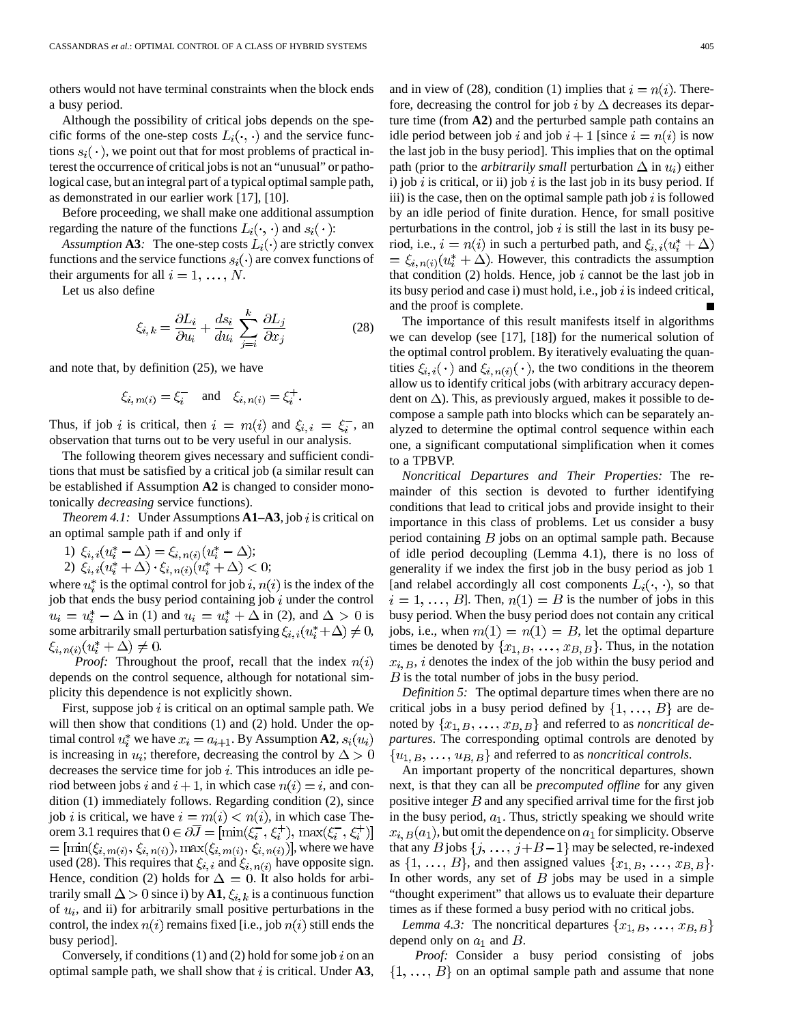others would not have terminal constraints when the block ends a busy period.

Although the possibility of critical jobs depends on the specific forms of the one-step costs  $L_i(\cdot, \cdot)$  and the service functions  $s_i(\cdot)$ , we point out that for most problems of practical interest the occurrence of critical jobs is not an "unusual" or pathological case, but an integral part of a typical optimal sample path, as demonstrated in our earlier work [17], [10].

Before proceeding, we shall make one additional assumption regarding the nature of the functions  $L_i(\cdot, \cdot)$  and  $s_i(\cdot)$ :

*Assumption* **A3***:* The one-step costs  $L_i(\cdot)$  are strictly convex functions and the service functions  $s_i(\cdot)$  are convex functions of their arguments for all  $i = 1, \ldots, N$ .

Let us also define

$$
\xi_{i,k} = \frac{\partial L_i}{\partial u_i} + \frac{ds_i}{du_i} \sum_{j=i}^{k} \frac{\partial L_j}{\partial x_j}
$$
(28)

and note that, by definition (25), we have

$$
\xi_{i, m(i)} = \xi_i^- \quad \text{and} \quad \xi_{i, n(i)} = \xi_i^+.
$$

Thus, if job i is critical, then  $i = m(i)$  and  $\xi_{i,i} = \xi_i^-$ , and observation that turns out to be very useful in our analysis.

The following theorem gives necessary and sufficient conditions that must be satisfied by a critical job (a similar result can be established if Assumption **A2** is changed to consider monotonically *decreasing* service functions).

*Theorem 4.1:* Under Assumptions  $A1-A3$ , job i is critical on an optimal sample path if and only if

- 1)  $\xi_{i,i}(u_i^* \Delta) = \xi_{i,n(i)}(u_i^* \Delta);$
- 2)  $\xi_{i,i}(u_i^* + \Delta) \cdot \xi_{i,n(i)}(u_i^* + \Delta) < 0;$

where  $u_i^*$  is the optimal control for job i,  $n(i)$  is the index of the job that ends the busy period containing job  $i$  under the control  $u_i = u_i^* - \Delta$  in (1) and  $u_i = u_i^* + \Delta$  in (2), and  $\Delta > 0$  is some arbitrarily small perturbation satisfying  $\xi_{i,i}(u_i^* + \Delta) \neq 0$ ,  $\xi_{i,n(i)}(u_i^*+\Delta)\neq 0.$ 

*Proof:* Throughout the proof, recall that the index  $n(i)$ depends on the control sequence, although for notational simplicity this dependence is not explicitly shown.

First, suppose job  $i$  is critical on an optimal sample path. We will then show that conditions (1) and (2) hold. Under the optimal control  $u_i^*$  we have  $x_i = a_{i+1}$ . By Assumption **A2**,  $s_i(u_i)$ is increasing in  $u_i$ ; therefore, decreasing the control by  $\Delta > 0$ decreases the service time for job  $i$ . This introduces an idle period between jobs i and  $i + 1$ , in which case  $n(i) = i$ , and condition (1) immediately follows. Regarding condition (2), since job *i* is critical, we have  $i = m(i) < n(i)$ , in which case Theorem 3.1 requires that  $0 \in \partial \overline{J} = [\min(\xi_i^-, \xi_i^+), \max(\xi_i^-, \xi_i^+)]$  $=\left[\min(\xi_{i, m(i)}, \xi_{i, n(i)}), \max(\xi_{i, m(i)}, \xi_{i, n(i)})\right]$ , where we have used (28). This requires that  $\xi_{i,i}$  and  $\xi_{i,n(i)}$  have opposite sign. Hence, condition (2) holds for  $\Delta = 0$ . It also holds for arbitrarily small  $\Delta > 0$  since i) by **A1**,  $\xi_{i,k}$  is a continuous function of  $u_i$ , and ii) for arbitrarily small positive perturbations in the control, the index  $n(i)$  remains fixed [i.e., job  $n(i)$  still ends the busy period].

Conversely, if conditions (1) and (2) hold for some job i on an optimal sample path, we shall show that  $i$  is critical. Under  $A3$ , and in view of (28), condition (1) implies that  $i = n(i)$ . Therefore, decreasing the control for job i by  $\Delta$  decreases its departure time (from **A2**) and the perturbed sample path contains an idle period between job i and job  $i + 1$  [since  $i = n(i)$  is now the last job in the busy period]. This implies that on the optimal path (prior to the *arbitrarily small* perturbation  $\Delta$  in  $u_i$ ) either i) job i is critical, or ii) job i is the last job in its busy period. If iii) is the case, then on the optimal sample path job  $i$  is followed by an idle period of finite duration. Hence, for small positive perturbations in the control, job  $i$  is still the last in its busy period, i.e.,  $i = n(i)$  in such a perturbed path, and  $\xi_{i,i}(u_i^* + \Delta)$  $= \xi_{i,n(i)}(u_i^* + \Delta)$ . However, this contradicts the assumption that condition  $(2)$  holds. Hence, job i cannot be the last job in its busy period and case i) must hold, i.e., job  $i$  is indeed critical, and the proof is complete.

The importance of this result manifests itself in algorithms we can develop (see [17], [18]) for the numerical solution of the optimal control problem. By iteratively evaluating the quantities  $\xi_{i,i}(\cdot)$  and  $\xi_{i,n(i)}(\cdot)$ , the two conditions in the theorem allow us to identify critical jobs (with arbitrary accuracy dependent on  $\Delta$ ). This, as previously argued, makes it possible to decompose a sample path into blocks which can be separately analyzed to determine the optimal control sequence within each one, a significant computational simplification when it comes to a TPBVP.

*Noncritical Departures and Their Properties:* The remainder of this section is devoted to further identifying conditions that lead to critical jobs and provide insight to their importance in this class of problems. Let us consider a busy period containing  $B$  jobs on an optimal sample path. Because of idle period decoupling (Lemma 4.1), there is no loss of generality if we index the first job in the busy period as job 1 [and relabel accordingly all cost components  $L_i(\cdot, \cdot)$ , so that  $i = 1, \ldots, B$ . Then,  $n(1) = B$  is the number of jobs in this busy period. When the busy period does not contain any critical jobs, i.e., when  $m(1) = n(1) = B$ , let the optimal departure times be denoted by  $\{x_{1, B}, \ldots, x_{B, B}\}$ . Thus, in the notation  $x_{i}, B$ , i denotes the index of the job within the busy period and  $B$  is the total number of jobs in the busy period.

*Definition 5:* The optimal departure times when there are no critical jobs in a busy period defined by  $\{1, \ldots, B\}$  are denoted by  $\{x_{1, B}, \ldots, x_{B, B}\}\$  and referred to as *noncritical departures*. The corresponding optimal controls are denoted by  $\{u_{1,B}, \ldots, u_{B,B}\}\$  and referred to as *noncritical controls*.

An important property of the noncritical departures, shown next, is that they can all be *precomputed offline* for any given positive integer  $B$  and any specified arrival time for the first job in the busy period,  $a_1$ . Thus, strictly speaking we should write  $x_{i}, B(a_1)$ , but omit the dependence on  $a_1$  for simplicity. Observe that any B jobs  $\{j, \ldots, j+B-1\}$  may be selected, re-indexed as  $\{1, \ldots, B\}$ , and then assigned values  $\{x_{1, B}, \ldots, x_{B, B}\}.$ In other words, any set of  $B$  jobs may be used in a simple "thought experiment" that allows us to evaluate their departure times as if these formed a busy period with no critical jobs.

*Lemma 4.3:* The noncritical departures  $\{x_{1,B}, \ldots, x_{B,B}\}\$ depend only on  $a_1$  and  $B$ .

*Proof:* Consider a busy period consisting of jobs  $\{1, \ldots, B\}$  on an optimal sample path and assume that none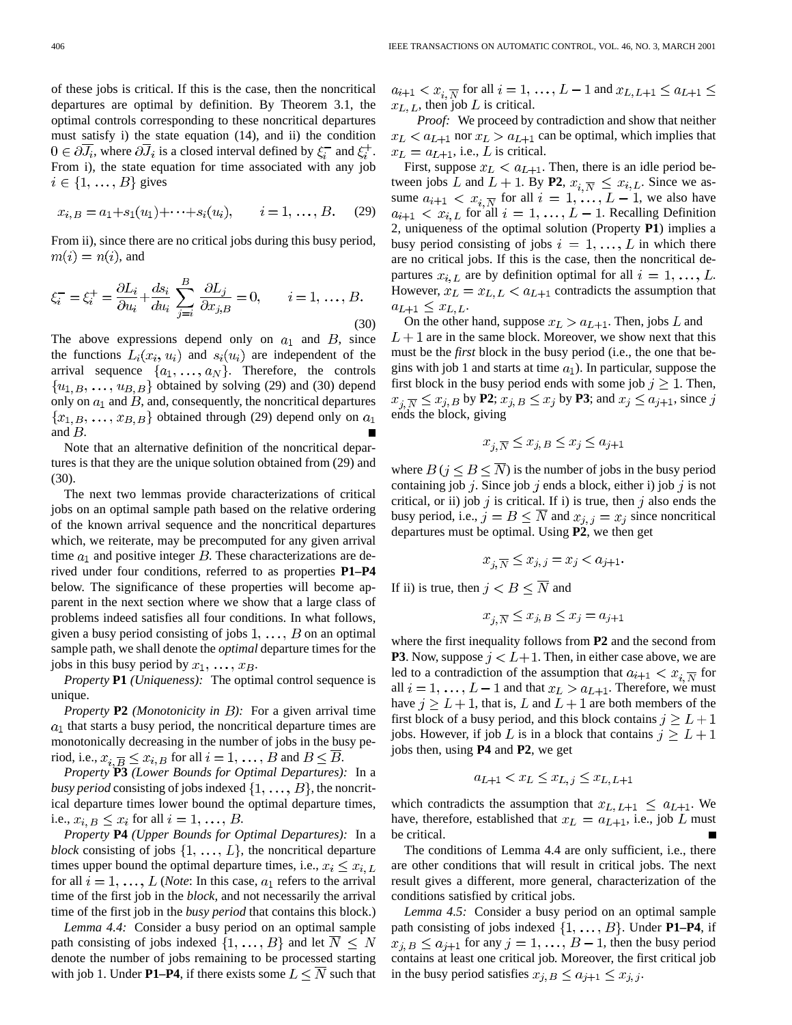of these jobs is critical. If this is the case, then the noncritical departures are optimal by definition. By Theorem 3.1, the optimal controls corresponding to these noncritical departures must satisfy i) the state equation (14), and ii) the condition  $0 \in \partial \overline{J_i}$ , where  $\partial \overline{J_i}$  is a closed interval defined by  $\xi_i^-$  and  $\xi_i^+$ . From i), the state equation for time associated with any job  $i \in \{1, \ldots, B\}$  gives

$$
x_{i,B} = a_1 + s_1(u_1) + \cdots + s_i(u_i), \qquad i = 1, \ldots, B.
$$
 (29)

From ii), since there are no critical jobs during this busy period,  $m(i) = n(i)$ , and

$$
\xi_i^- = \xi_i^+ = \frac{\partial L_i}{\partial u_i} + \frac{ds_i}{du_i} \sum_{j=i}^B \frac{\partial L_j}{\partial x_{j,B}} = 0, \qquad i = 1, \dots, B.
$$
\n(30)

The above expressions depend only on  $a_1$  and  $B$ , since the functions  $L_i(x_i, u_i)$  and  $s_i(u_i)$  are independent of the arrival sequence  $\{a_1, \ldots, a_N\}$ . Therefore, the controls  $\{u_{1, B}, \ldots, u_{B, B}\}\$  obtained by solving (29) and (30) depend only on  $a_1$  and  $B$ , and, consequently, the noncritical departures  $\{x_{1,B}, \ldots, x_{B,B}\}\$  obtained through (29) depend only on  $a_1$ and  $B$ .

Note that an alternative definition of the noncritical departures is that they are the unique solution obtained from (29) and (30).

The next two lemmas provide characterizations of critical jobs on an optimal sample path based on the relative ordering of the known arrival sequence and the noncritical departures which, we reiterate, may be precomputed for any given arrival time  $a_1$  and positive integer  $B$ . These characterizations are derived under four conditions, referred to as properties **P1–P4** below. The significance of these properties will become apparent in the next section where we show that a large class of problems indeed satisfies all four conditions. In what follows, given a busy period consisting of jobs  $1, \ldots, B$  on an optimal sample path, we shall denote the *optimal* departure times for the jobs in this busy period by  $x_1, \ldots, x_B$ .

*Property* **P1** *(Uniqueness):* The optimal control sequence is unique.

*Property* **P2** *(Monotonicity in ):* For a given arrival time  $a_1$  that starts a busy period, the noncritical departure times are monotonically decreasing in the number of jobs in the busy period, i.e.,  $x_{i, \overline{B}} \leq x_{i, B}$  for all  $i = 1, \ldots, B$  and  $B \leq \overline{B}$ .

*Property* **P3** *(Lower Bounds for Optimal Departures):* In a *busy period* consisting of jobs indexed  $\{1, \ldots, B\}$ , the noncritical departure times lower bound the optimal departure times, i.e.,  $x_{i,B} \leq x_i$  for all  $i = 1, \ldots, B$ .

*Property* **P4** *(Upper Bounds for Optimal Departures):* In a *block* consisting of jobs  $\{1, \ldots, L\}$ , the noncritical departure times upper bound the optimal departure times, i.e.,  $x_i \leq x_{i,L}$ for all  $i = 1, \ldots, L$  (*Note*: In this case,  $a_1$  refers to the arrival time of the first job in the *block*, and not necessarily the arrival time of the first job in the *busy period* that contains this block.)

*Lemma 4.4:* Consider a busy period on an optimal sample path consisting of jobs indexed  $\{1, \ldots, B\}$  and let  $\overline{N} \leq N$ denote the number of jobs remaining to be processed starting with job 1. Under **P1–P4**, if there exists some  $L \leq \overline{N}$  such that  $a_{i+1} < x_{i, \overline{N}}$  for all  $i = 1, \ldots, L-1$  and  $x_{L, L+1} \le a_{L+1} \le$  $x_{L, L}$ , then job L is critical.

*Proof:* We proceed by contradiction and show that neither  $x_L < a_{L+1}$  nor  $x_L > a_{L+1}$  can be optimal, which implies that  $x_L = a_{L+1}$ , i.e., L is critical.

First, suppose  $x_L < a_{L+1}$ . Then, there is an idle period between jobs L and  $L + 1$ . By P2,  $x_i \overline{N} \leq x_{i,L}$ . Since we assume  $a_{i+1} < x_i \overline{N}$  for all  $i = 1, \ldots, L-1$ , we also have  $a_{i+1} < x_{i,L}$  for all  $i = 1, ..., L - 1$ . Recalling Definition 2, uniqueness of the optimal solution (Property **P1**) implies a busy period consisting of jobs  $i = 1, \ldots, L$  in which there are no critical jobs. If this is the case, then the noncritical departures  $x_{i,L}$  are by definition optimal for all  $i = 1, \ldots, L$ . However,  $x_L = x_{L,L} < a_{L+1}$  contradicts the assumption that  $a_{L+1} \leq x_{L,L}.$ 

On the other hand, suppose  $x_L > a_{L+1}$ . Then, jobs L and  $L+1$  are in the same block. Moreover, we show next that this must be the *first* block in the busy period (i.e., the one that begins with job 1 and starts at time  $a_1$ ). In particular, suppose the first block in the busy period ends with some job  $j \geq 1$ . Then,  $x_{i,\overline{N}} \leq x_{j,B}$  by **P2**;  $x_{j,B} \leq x_j$  by **P3**; and  $x_j \leq a_{j+1}$ , since j ends the block, giving

$$
x_{j, \overline{N}} \le x_{j, B} \le x_j \le a_{j+1}
$$

where  $B$  ( $j \leq B \leq \overline{N}$ ) is the number of jobs in the busy period containing job  $j$ . Since job  $j$  ends a block, either i) job  $j$  is not critical, or ii) job j is critical. If i) is true, then j also ends the busy period, i.e.,  $j = B \leq N$  and  $x_{j,j} = x_j$  since noncritical departures must be optimal. Using **P2**, we then get

$$
x_{j, \overline{N}} \le x_{j, j} = x_j < a_{j+1}.
$$

If ii) is true, then  $j < B \leq \overline{N}$  and

$$
x_{j, \overline{N}} \le x_{j, B} \le x_j = a_{j+1}
$$

where the first inequality follows from **P2** and the second from **P3**. Now, suppose  $j < L+1$ . Then, in either case above, we are led to a contradiction of the assumption that  $a_{i+1} < x_{i,\overline{N}}$  for all  $i = 1, ..., L - 1$  and that  $x_L > a_{L+1}$ . Therefore, we must have  $j \geq L + 1$ , that is, L and  $L + 1$  are both members of the first block of a busy period, and this block contains  $j \geq L+1$ jobs. However, if job L is in a block that contains  $j \geq L+1$ jobs then, using **P4** and **P2**, we get

$$
a_{L+1} < x_L \le x_{L,j} \le x_{L,L+1}
$$

which contradicts the assumption that  $x_{L,L+1} \le a_{L+1}$ . We have, therefore, established that  $x_L = a_{L+1}$ , i.e., job L must be critical.

The conditions of Lemma 4.4 are only sufficient, i.e., there are other conditions that will result in critical jobs. The next result gives a different, more general, characterization of the conditions satisfied by critical jobs.

*Lemma 4.5:* Consider a busy period on an optimal sample path consisting of jobs indexed  $\{1, \ldots, B\}$ . Under **P1–P4**, if  $x_{j,B} \le a_{j+1}$  for any  $j = 1, \ldots, B-1$ , then the busy period contains at least one critical job. Moreover, the first critical job in the busy period satisfies  $x_{j,B} \le a_{j+1} \le x_{j,j}$ .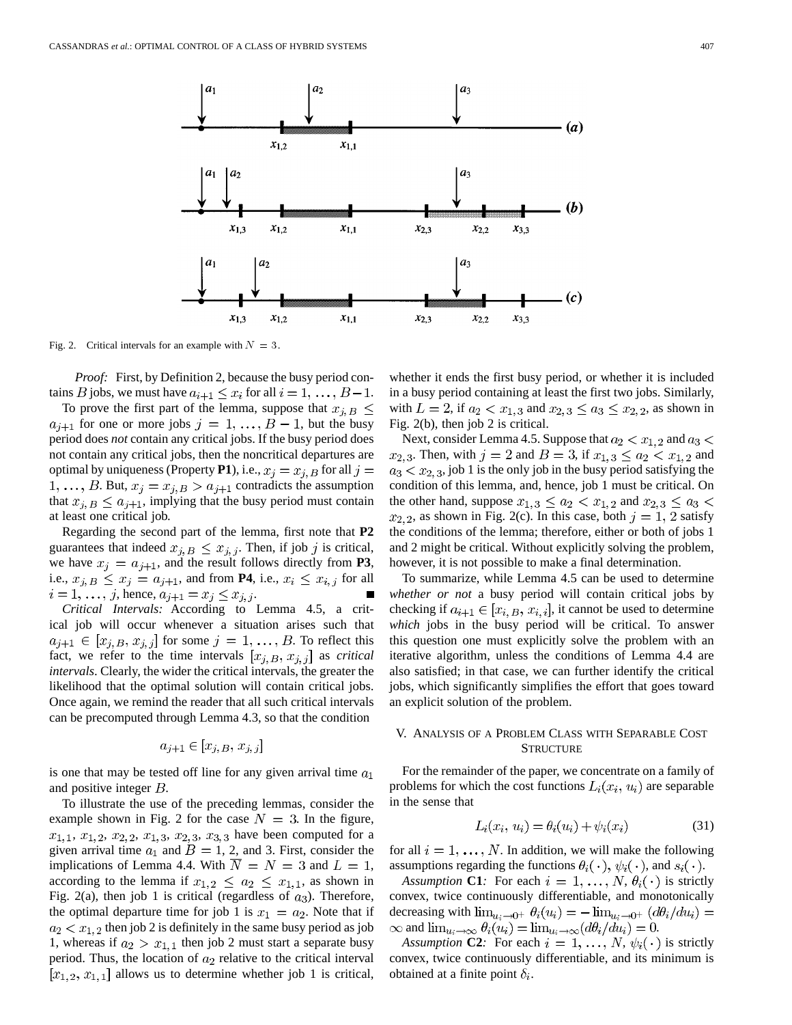

Fig. 2. Critical intervals for an example with  $N = 3$ .

*Proof:* First, by Definition 2, because the busy period contains *B* jobs, we must have  $a_{i+1} \le x_i$  for all  $i = 1, ..., B-1$ .

To prove the first part of the lemma, suppose that  $x_{j,B} \leq$  $a_{j+1}$  for one or more jobs  $j = 1, ..., B - 1$ , but the busy period does *not* contain any critical jobs. If the busy period does not contain any critical jobs, then the noncritical departures are optimal by uniqueness (Property P1), i.e.,  $x_j = x_{j,B}$  for all  $j =$ 1, ..., *B*. But,  $x_j = x_{j,B} > a_{j+1}$  contradicts the assumption that  $x_{j,B} \leq a_{j+1}$ , implying that the busy period must contain at least one critical job.

Regarding the second part of the lemma, first note that **P2** guarantees that indeed  $x_{i,B} \leq x_{i,j}$ . Then, if job j is critical, we have  $x_j = a_{j+1}$ , and the result follows directly from **P3**, i.e.,  $x_{j,B} \leq x_j = a_{j+1}$ , and from **P4**, i.e.,  $x_i \leq x_{i,j}$  for all  $i = 1, \ldots, j$ , hence,  $a_{j+1} = x_j \leq x_{j, j}$ .

*Critical Intervals:* According to Lemma 4.5, a critical job will occur whenever a situation arises such that  $a_{j+1} \in [x_{j,B}, x_{j,j}]$  for some  $j = 1, \ldots, B$ . To reflect this fact, we refer to the time intervals  $[x_{i},B,x_{i},x_{j}]$  as *critical intervals*. Clearly, the wider the critical intervals, the greater the likelihood that the optimal solution will contain critical jobs. Once again, we remind the reader that all such critical intervals can be precomputed through Lemma 4.3, so that the condition

$$
a_{j+1} \in [x_{j,B}, x_{j,j}]
$$

is one that may be tested off line for any given arrival time  $a_1$ and positive integer  $B$ .

To illustrate the use of the preceding lemmas, consider the example shown in Fig. 2 for the case  $N = 3$ . In the figure,  $x_{1,1}, x_{1,2}, x_{2,2}, x_{1,3}, x_{2,3}, x_{3,3}$  have been computed for a given arrival time  $a_1$  and  $B = 1, 2$ , and 3. First, consider the implications of Lemma 4.4. With  $\overline{N} = N = 3$  and  $L = 1$ , according to the lemma if  $x_{1,2} \le a_2 \le x_{1,1}$ , as shown in Fig. 2(a), then job 1 is critical (regardless of  $a_3$ ). Therefore, the optimal departure time for job 1 is  $x_1 = a_2$ . Note that if  $a_2 < x_1$ , 2 then job 2 is definitely in the same busy period as job 1, whereas if  $a_2 > x_{1,1}$  then job 2 must start a separate busy period. Thus, the location of  $a_2$  relative to the critical interval  $[x_1, 2, x_1, 1]$  allows us to determine whether job 1 is critical, whether it ends the first busy period, or whether it is included in a busy period containing at least the first two jobs. Similarly, with  $L = 2$ , if  $a_2 < x_{1,3}$  and  $x_{2,3} \le a_3 \le x_{2,2}$ , as shown in Fig. 2(b), then job 2 is critical.

Next, consider Lemma 4.5. Suppose that  $a_2 < x_1$ , and  $a_3 <$  $x_{2,3}$ . Then, with  $j = 2$  and  $B = 3$ , if  $x_{1,3} \le a_2 < x_{1,2}$  and  $a_3 < x_2$ , job 1 is the only job in the busy period satisfying the condition of this lemma, and, hence, job 1 must be critical. On the other hand, suppose  $x_{1,3} \le a_2 < x_{1,2}$  and  $x_{2,3} \le a_3 <$  $x_{2,2}$ , as shown in Fig. 2(c). In this case, both  $j = 1, 2$  satisfy the conditions of the lemma; therefore, either or both of jobs 1 and 2 might be critical. Without explicitly solving the problem, however, it is not possible to make a final determination.

To summarize, while Lemma 4.5 can be used to determine *whether or not* a busy period will contain critical jobs by checking if  $a_{i+1} \in [x_{i}, B, x_{i,i}]$ , it cannot be used to determine *which* jobs in the busy period will be critical. To answer this question one must explicitly solve the problem with an iterative algorithm, unless the conditions of Lemma 4.4 are also satisfied; in that case, we can further identify the critical jobs, which significantly simplifies the effort that goes toward an explicit solution of the problem.

## V. ANALYSIS OF A PROBLEM CLASS WITH SEPARABLE COST **STRUCTURE**

For the remainder of the paper, we concentrate on a family of problems for which the cost functions  $L_i(x_i, u_i)$  are separable in the sense that

$$
L_i(x_i, u_i) = \theta_i(u_i) + \psi_i(x_i)
$$
\n(31)

for all  $i = 1, \ldots, N$ . In addition, we will make the following assumptions regarding the functions  $\theta_i(\cdot)$ ,  $\psi_i(\cdot)$ , and  $s_i(\cdot)$ .

*Assumption* **C1***:* For each  $i = 1, ..., N$ ,  $\theta_i(\cdot)$  is strictly convex, twice continuously differentiable, and monotonically decreasing with  $\lim_{u_i \to 0^+} \theta_i(u_i) = -\lim_{u_i \to 0^+} (d\theta_i/du_i) =$  $\infty$  and  $\lim_{u_i \to \infty} \theta_i(u_i) = \lim_{u_i \to \infty} (d\theta_i/du_i) = 0.$ 

*Assumption* **C2***:* For each  $i = 1, ..., N$ ,  $\psi_i(\cdot)$  is strictly convex, twice continuously differentiable, and its minimum is obtained at a finite point  $\delta_i$ .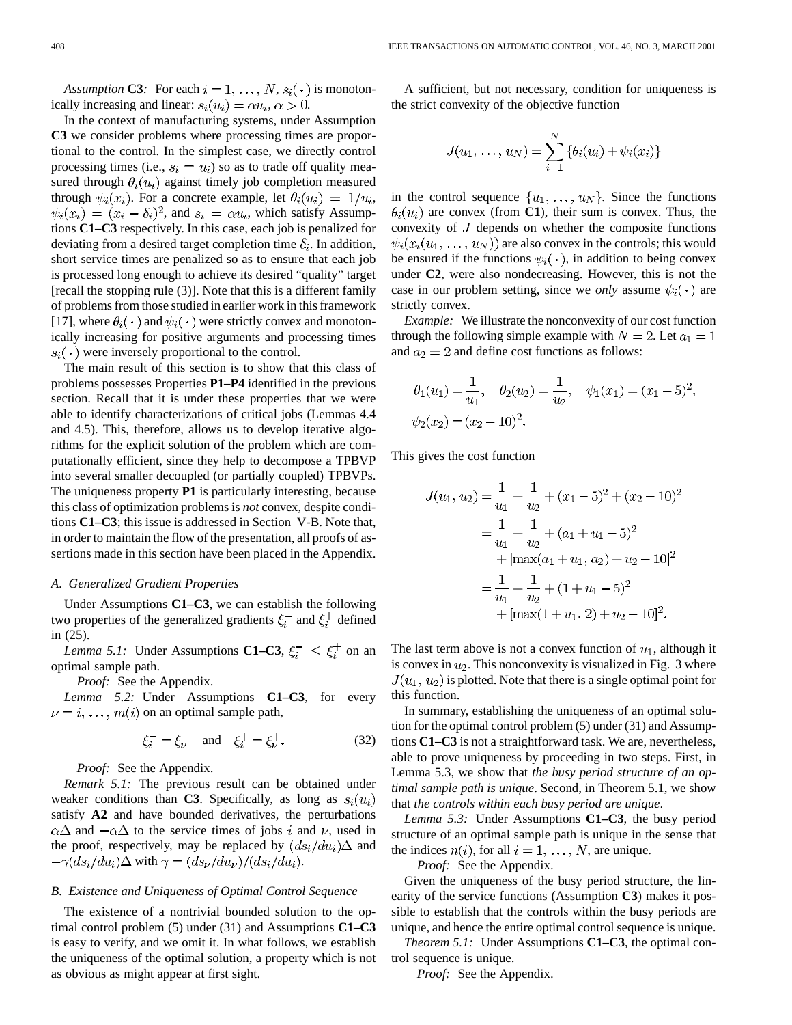*Assumption* **C3***:* For each  $i = 1, ..., N$ ,  $s_i(\cdot)$  is monotonically increasing and linear:  $s_i(u_i) = \alpha u_i, \, \alpha > 0.$ 

In the context of manufacturing systems, under Assumption **C3** we consider problems where processing times are proportional to the control. In the simplest case, we directly control processing times (i.e.,  $s_i = u_i$ ) so as to trade off quality measured through  $\theta_i(u_i)$  against timely job completion measured through  $\psi_i(x_i)$ . For a concrete example, let  $\theta_i(u_i) = 1/u_i$ ,  $\psi_i(x_i) = (x_i - \delta_i)^2$ , and  $s_i = \alpha u_i$ , which satisfy Assumptions **C1–C3** respectively. In this case, each job is penalized for deviating from a desired target completion time  $\delta_i$ . In addition, short service times are penalized so as to ensure that each job is processed long enough to achieve its desired "quality" target [recall the stopping rule (3)]. Note that this is a different family of problems from those studied in earlier work in this framework [17], where  $\theta_i(\cdot)$  and  $\psi_i(\cdot)$  were strictly convex and monotonically increasing for positive arguments and processing times  $s_i(\cdot)$  were inversely proportional to the control.

The main result of this section is to show that this class of problems possesses Properties **P1–P4** identified in the previous section. Recall that it is under these properties that we were able to identify characterizations of critical jobs (Lemmas 4.4 and 4.5). This, therefore, allows us to develop iterative algorithms for the explicit solution of the problem which are computationally efficient, since they help to decompose a TPBVP into several smaller decoupled (or partially coupled) TPBVPs. The uniqueness property **P1** is particularly interesting, because this class of optimization problems is *not* convex, despite conditions **C1–C3**; this issue is addressed in Section V-B. Note that, in order to maintain the flow of the presentation, all proofs of assertions made in this section have been placed in the Appendix.

## *A. Generalized Gradient Properties*

Under Assumptions **C1–C3**, we can establish the following two properties of the generalized gradients  $\xi_i^-$  and  $\xi_i^+$  defined in (25).

*Lemma 5.1:* Under Assumptions **C1–C3**,  $\xi_i^- \leq \xi_i^+$  on an optimal sample path.

*Proof:* See the Appendix.

*Lemma 5.2:* Under Assumptions **C1–C3**, for every  $\nu = i, \ldots, m(i)$  on an optimal sample path,

$$
\xi_i^- = \xi_{\nu}^-
$$
 and  $\xi_i^+ = \xi_{\nu}^+$ . (32)

*Proof:* See the Appendix.

*Remark 5.1:* The previous result can be obtained under weaker conditions than **C3**. Specifically, as long as  $s_i(u_i)$ satisfy **A2** and have bounded derivatives, the perturbations  $\alpha\Delta$  and  $-\alpha\Delta$  to the service times of jobs i and v, used in the proof, respectively, may be replaced by  $(ds_i/du_i)\Delta$  and  $-\gamma(ds_i/du_i)\Delta$  with  $\gamma = (ds_{\nu}/du_{\nu})/(ds_i/du_i)$ .

## *B. Existence and Uniqueness of Optimal Control Sequence*

The existence of a nontrivial bounded solution to the optimal control problem (5) under (31) and Assumptions **C1–C3** is easy to verify, and we omit it. In what follows, we establish the uniqueness of the optimal solution, a property which is not as obvious as might appear at first sight.

A sufficient, but not necessary, condition for uniqueness is the strict convexity of the objective function

$$
J(u_1, \ldots, u_N) = \sum_{i=1}^N \{ \theta_i(u_i) + \psi_i(x_i) \}
$$

in the control sequence  $\{u_1, \ldots, u_N\}$ . Since the functions  $\theta_i(u_i)$  are convex (from **C1**), their sum is convex. Thus, the convexity of  $J$  depends on whether the composite functions  $\psi_i(x_i(u_1, \ldots, u_N))$  are also convex in the controls; this would be ensured if the functions  $\psi_i(\cdot)$ , in addition to being convex under **C2**, were also nondecreasing. However, this is not the case in our problem setting, since we *only* assume  $\psi_i(\cdot)$  are strictly convex.

*Example:* We illustrate the nonconvexity of our cost function through the following simple example with  $N = 2$ . Let  $a_1 = 1$ and  $a_2 = 2$  and define cost functions as follows:

$$
\theta_1(u_1) = \frac{1}{u_1}, \quad \theta_2(u_2) = \frac{1}{u_2}, \quad \psi_1(x_1) = (x_1 - 5)^2,
$$
  
\n $\psi_2(x_2) = (x_2 - 10)^2.$ 

This gives the cost function

$$
J(u_1, u_2) = \frac{1}{u_1} + \frac{1}{u_2} + (x_1 - 5)^2 + (x_2 - 10)^2
$$
  
=  $\frac{1}{u_1} + \frac{1}{u_2} + (a_1 + u_1 - 5)^2$   
+  $[\max(a_1 + u_1, a_2) + u_2 - 10]^2$   
=  $\frac{1}{u_1} + \frac{1}{u_2} + (1 + u_1 - 5)^2$   
+  $[\max(1 + u_1, 2) + u_2 - 10]^2$ .

The last term above is not a convex function of  $u_1$ , although it is convex in  $u_2$ . This nonconvexity is visualized in Fig. 3 where  $J(u_1, u_2)$  is plotted. Note that there is a single optimal point for this function.

In summary, establishing the uniqueness of an optimal solution for the optimal control problem (5) under (31) and Assumptions **C1–C3** is not a straightforward task. We are, nevertheless, able to prove uniqueness by proceeding in two steps. First, in Lemma 5.3, we show that *the busy period structure of an optimal sample path is unique*. Second, in Theorem 5.1, we show that *the controls within each busy period are unique*.

*Lemma 5.3:* Under Assumptions **C1–C3**, the busy period structure of an optimal sample path is unique in the sense that the indices  $n(i)$ , for all  $i = 1, \ldots, N$ , are unique.

*Proof:* See the Appendix.

Given the uniqueness of the busy period structure, the linearity of the service functions (Assumption **C3**) makes it possible to establish that the controls within the busy periods are unique, and hence the entire optimal control sequence is unique.

*Theorem 5.1:* Under Assumptions **C1–C3**, the optimal control sequence is unique.

*Proof:* See the Appendix.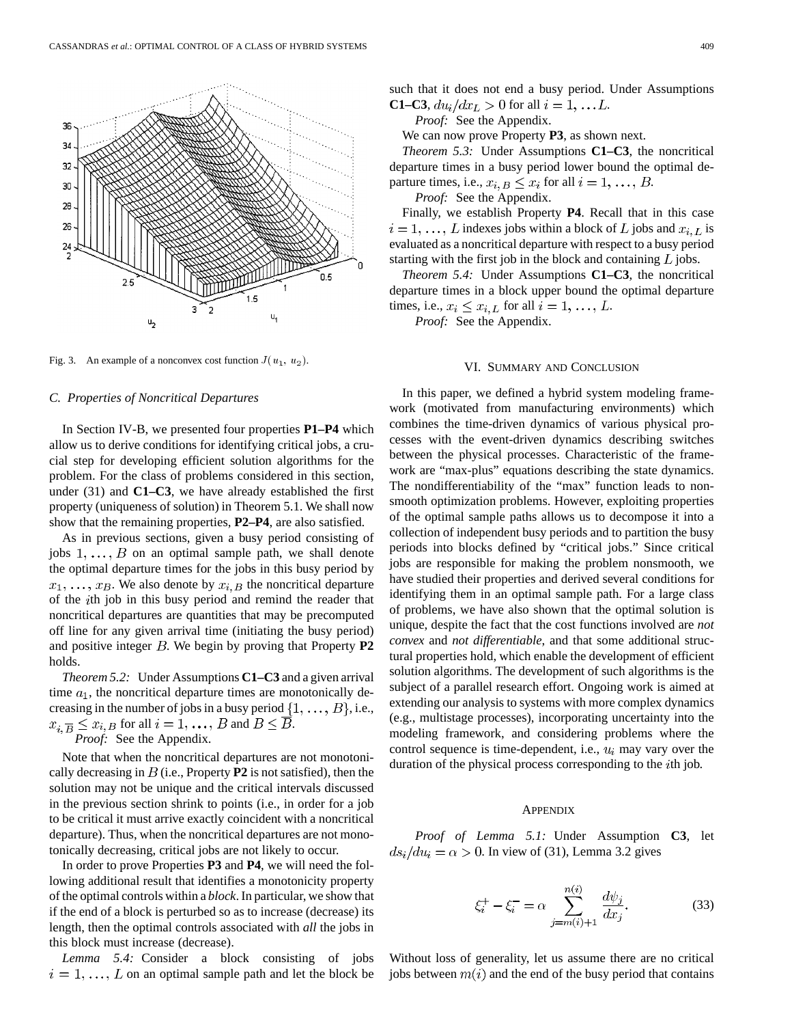

Fig. 3. An example of a nonconvex cost function  $J(u_1, u_2)$ .

### *C. Properties of Noncritical Departures*

In Section IV-B, we presented four properties **P1–P4** which allow us to derive conditions for identifying critical jobs, a crucial step for developing efficient solution algorithms for the problem. For the class of problems considered in this section, under (31) and **C1–C3**, we have already established the first property (uniqueness of solution) in Theorem 5.1. We shall now show that the remaining properties, **P2–P4**, are also satisfied.

As in previous sections, given a busy period consisting of jobs  $1, \ldots, B$  on an optimal sample path, we shall denote the optimal departure times for the jobs in this busy period by  $x_1, \ldots, x_B$ . We also denote by  $x_{i,B}$  the noncritical departure of the th job in this busy period and remind the reader that noncritical departures are quantities that may be precomputed off line for any given arrival time (initiating the busy period) and positive integer  $B$ . We begin by proving that Property  $P2$ holds.

*Theorem 5.2:* Under Assumptions **C1–C3** and a given arrival time  $a_1$ , the noncritical departure times are monotonically decreasing in the number of jobs in a busy period  $\{1, \ldots, B\}$ , i.e.,  $x_{i,\overline{B}} \leq x_{i,B}$  for all  $i = 1, \ldots, B$  and  $B \leq \overline{B}$ .

*Proof:* See the Appendix.

Note that when the noncritical departures are not monotonically decreasing in  $B$  (i.e., Property **P2** is not satisfied), then the solution may not be unique and the critical intervals discussed in the previous section shrink to points (i.e., in order for a job to be critical it must arrive exactly coincident with a noncritical departure). Thus, when the noncritical departures are not monotonically decreasing, critical jobs are not likely to occur.

In order to prove Properties **P3** and **P4**, we will need the following additional result that identifies a monotonicity property of the optimal controls within a *block*. In particular, we show that if the end of a block is perturbed so as to increase (decrease) its length, then the optimal controls associated with *all* the jobs in this block must increase (decrease).

*Lemma 5.4:* Consider a block consisting of jobs  $i = 1, \ldots, L$  on an optimal sample path and let the block be such that it does not end a busy period. Under Assumptions **C1–C3**,  $du_i/dx_L > 0$  for all  $i = 1, ... L$ .

*Proof:* See the Appendix.

We can now prove Property **P3**, as shown next.

*Theorem 5.3:* Under Assumptions **C1–C3**, the noncritical departure times in a busy period lower bound the optimal departure times, i.e.,  $x_{i,B} \leq x_i$  for all  $i = 1, \ldots, B$ .

*Proof:* See the Appendix.

Finally, we establish Property **P4**. Recall that in this case  $i=1,\ldots,L$  indexes jobs within a block of L jobs and  $x_{i,L}$  is evaluated as a noncritical departure with respect to a busy period starting with the first job in the block and containing  $L$  jobs.

*Theorem 5.4:* Under Assumptions **C1–C3**, the noncritical departure times in a block upper bound the optimal departure times, i.e.,  $x_i \leq x_{i,L}$  for all  $i = 1, \ldots, L$ .

*Proof:* See the Appendix.

## VI. SUMMARY AND CONCLUSION

In this paper, we defined a hybrid system modeling framework (motivated from manufacturing environments) which combines the time-driven dynamics of various physical processes with the event-driven dynamics describing switches between the physical processes. Characteristic of the framework are "max-plus" equations describing the state dynamics. The nondifferentiability of the "max" function leads to nonsmooth optimization problems. However, exploiting properties of the optimal sample paths allows us to decompose it into a collection of independent busy periods and to partition the busy periods into blocks defined by "critical jobs." Since critical jobs are responsible for making the problem nonsmooth, we have studied their properties and derived several conditions for identifying them in an optimal sample path. For a large class of problems, we have also shown that the optimal solution is unique, despite the fact that the cost functions involved are *not convex* and *not differentiable*, and that some additional structural properties hold, which enable the development of efficient solution algorithms. The development of such algorithms is the subject of a parallel research effort. Ongoing work is aimed at extending our analysis to systems with more complex dynamics (e.g., multistage processes), incorporating uncertainty into the modeling framework, and considering problems where the control sequence is time-dependent, i.e.,  $u_i$  may vary over the duration of the physical process corresponding to the *i*th job.

## **APPENDIX**

*Proof of Lemma 5.1:* Under Assumption **C3**, let  $ds_i/du_i = \alpha > 0$ . In view of (31), Lemma 3.2 gives

$$
\xi_i^+ - \xi_i^- = \alpha \sum_{j=m(i)+1}^{n(i)} \frac{d\psi_j}{dx_j}.
$$
 (33)

Without loss of generality, let us assume there are no critical jobs between  $m(i)$  and the end of the busy period that contains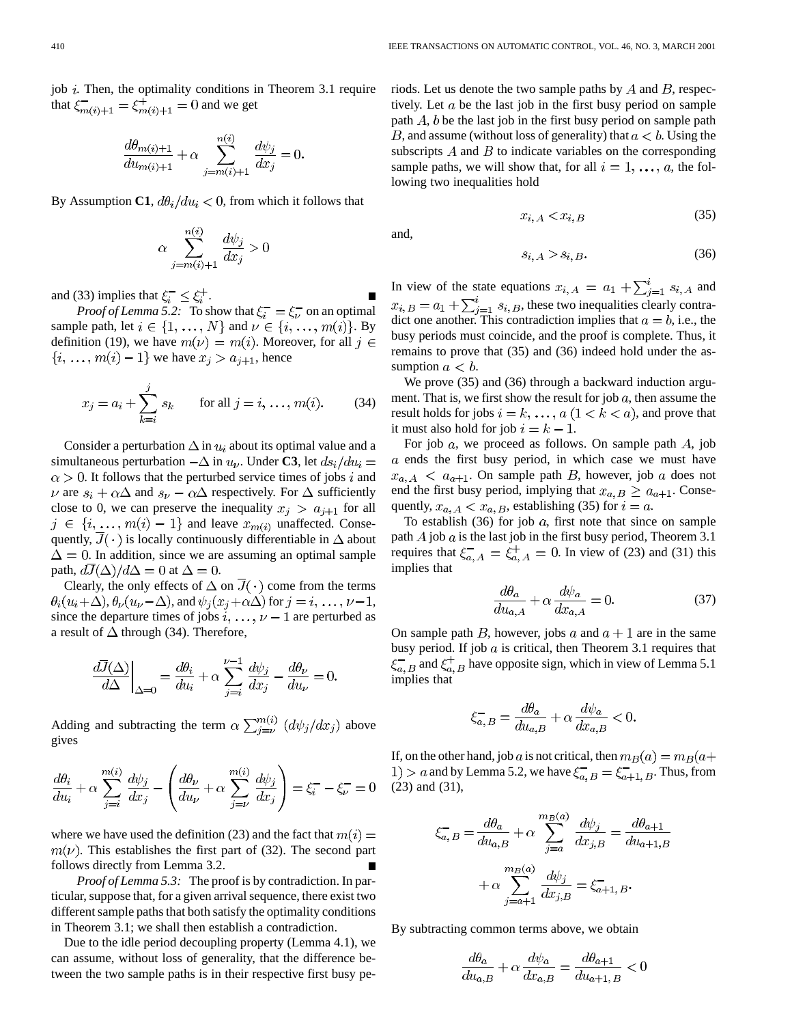job  $i$ . Then, the optimality conditions in Theorem 3.1 require that  $\xi_{m(i)+1}^{-} = \xi_{m(i)+1}^{+} = 0$  and we get

$$
\frac{d\theta_{m(i)+1}}{du_{m(i)+1}} + \alpha \sum_{j=m(i)+1}^{n(i)} \frac{d\psi_j}{dx_j} = 0.
$$

By Assumption C1,  $d\theta_i / du_i < 0$ , from which it follows that

$$
\alpha \sum_{j=m(i)+1}^{n(i)} \frac{d\psi_j}{dx_j} > 0
$$

and (33) implies that  $\xi_i^- \leq \xi_i^+$ .

*Proof of Lemma 5.2:* To show that  $\xi_i^- = \xi_{\nu}^-$  on an optimal sample path, let  $i \in \{1, ..., N\}$  and  $\nu \in \{i, ..., m(i)\}$ . By definition (19), we have  $m(\nu) = m(i)$ . Moreover, for all  $j \in$  $\{i, \ldots, m(i) - 1\}$  we have  $x_j > a_{j+1}$ , hence

$$
x_j = a_i + \sum_{k=i}^{j} s_k
$$
 for all  $j = i, ..., m(i)$ . (34)

Consider a perturbation  $\Delta$  in  $u_i$  about its optimal value and a simultaneous perturbation  $-\Delta$  in  $u_{\nu}$ . Under **C3**, let  $ds_i/du_i =$  $\alpha > 0$ . It follows that the perturbed service times of jobs i and  $\nu$  are  $s_i + \alpha \Delta$  and  $s_{\nu} - \alpha \Delta$  respectively. For  $\Delta$  sufficiently close to 0, we can preserve the inequality  $x_j > a_{j+1}$  for all  $j \in \{i, ..., m(i) - 1\}$  and leave  $x_{m(i)}$  unaffected. Consequently,  $\overline{J}(\cdot)$  is locally continuously differentiable in  $\Delta$  about  $\Delta = 0$ . In addition, since we are assuming an optimal sample path,  $d\overline{J}(\Delta)/d\Delta = 0$  at  $\Delta = 0$ .

Clearly, the only effects of  $\Delta$  on  $\overline{J}(\cdot)$  come from the terms  $\theta_i(u_i+\Delta), \theta_\nu(u_\nu-\Delta)$ , and  $\psi_j(x_j+\alpha\Delta)$  for  $j=i, \ldots, \nu-1$ , since the departure times of jobs  $i, \ldots, \nu - 1$  are perturbed as a result of  $\Delta$  through (34). Therefore,

$$
\left. \frac{d\overline{J}(\Delta)}{d\Delta} \right|_{\Delta=0} = \frac{d\theta_i}{du_i} + \alpha \sum_{j=i}^{\nu-1} \frac{d\psi_j}{dx_j} - \frac{d\theta_\nu}{du_\nu} = 0.
$$

Adding and subtracting the term  $\alpha \sum_{j=\nu}^{m(i)} (d\psi_j/dx_j)$  above gives

$$
\frac{d\theta_i}{du_i} + \alpha \sum_{j=i}^{m(i)} \frac{d\psi_j}{dx_j} - \left(\frac{d\theta_\nu}{du_\nu} + \alpha \sum_{j=\nu}^{m(i)} \frac{d\psi_j}{dx_j}\right) = \xi_i^- - \xi_\nu^- = 0
$$

where we have used the definition (23) and the fact that  $m(i)$  =  $m(\nu)$ . This establishes the first part of (32). The second part follows directly from Lemma 3.2.

*Proof of Lemma 5.3:* The proof is by contradiction. In particular, suppose that, for a given arrival sequence, there exist two different sample paths that both satisfy the optimality conditions in Theorem 3.1; we shall then establish a contradiction.

Due to the idle period decoupling property (Lemma 4.1), we can assume, without loss of generality, that the difference between the two sample paths is in their respective first busy periods. Let us denote the two sample paths by  $A$  and  $B$ , respectively. Let  $a$  be the last job in the first busy period on sample path  $A$ ,  $b$  be the last job in the first busy period on sample path B, and assume (without loss of generality) that  $a < b$ . Using the subscripts  $A$  and  $B$  to indicate variables on the corresponding sample paths, we will show that, for all  $i = 1, \ldots, a$ , the following two inequalities hold

$$
x_{i,A} < x_{i,B} \tag{35}
$$

and,

$$
s_{i, A} > s_{i, B}.\tag{36}
$$

In view of the state equations  $x_{i, A} = a_1 + \sum_{j=1}^{i} s_{i, A}$  and , these two inequalities clearly contradict one another. This contradiction implies that  $a = b$ , i.e., the busy periods must coincide, and the proof is complete. Thus, it remains to prove that (35) and (36) indeed hold under the assumption  $a < b$ .

We prove  $(35)$  and  $(36)$  through a backward induction argument. That is, we first show the result for job  $a$ , then assume the result holds for jobs  $i = k, \ldots, a \ (1 \leq k \leq a)$ , and prove that it must also hold for job  $i = k - 1$ .

For job a, we proceed as follows. On sample path  $A$ , job  $a$  ends the first busy period, in which case we must have  $x_{a, A} < a_{a+1}$ . On sample path B, however, job a does not end the first busy period, implying that  $x_{a, B} \ge a_{a+1}$ . Consequently,  $x_{a, A} < x_{a, B}$ , establishing (35) for  $i = a$ .

To establish  $(36)$  for job a, first note that since on sample path  $\overline{A}$  job  $\overline{a}$  is the last job in the first busy period, Theorem 3.1 requires that  $\xi_{a,A}^- = \xi_{a,A}^+ = 0$ . In view of (23) and (31) this implies that

$$
\frac{d\theta_a}{du_{a,A}} + \alpha \frac{d\psi_a}{dx_{a,A}} = 0.
$$
\n(37)

On sample path B, however, jobs a and  $a + 1$  are in the same busy period. If job  $\alpha$  is critical, then Theorem 3.1 requires that  $\xi_{a,B}^-$  and  $\xi_{a,B}^+$  have opposite sign, which in view of Lemma 5.1 implies that

$$
\xi_{a,\,B}^{-}=\frac{d\theta_{a}}{du_{a,B}}+\alpha\,\frac{d\psi_{a}}{dx_{a,B}}<0.
$$

If, on the other hand, job a is not critical, then  $m_B(a) = m_B(a) +$ 1) > a and by Lemma 5.2, we have  $\xi_{a,B}^- = \xi_{a+1,B}^-$ . Thus, from (23) and (31),

$$
\xi_{a,B}^- = \frac{d\theta_a}{du_{a,B}} + \alpha \sum_{j=a}^{m_B(a)} \frac{d\psi_j}{dx_{j,B}} = \frac{d\theta_{a+1}}{du_{a+1,B}}
$$

$$
+ \alpha \sum_{j=a+1}^{m_B(a)} \frac{d\psi_j}{dx_{j,B}} = \xi_{a+1,B}^-.
$$

By subtracting common terms above, we obtain

$$
\frac{d\theta_a}{du_{a,B}} + \alpha \frac{d\psi_a}{dx_{a,B}} = \frac{d\theta_{a+1}}{du_{a+1,B}} < 0
$$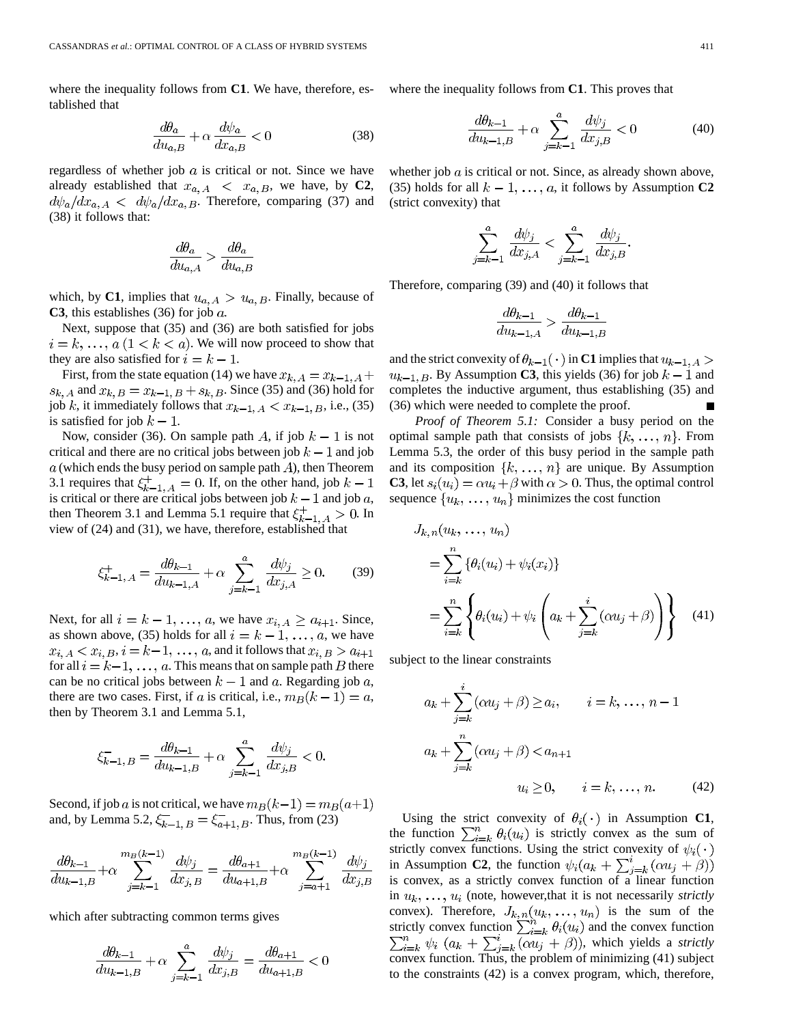where the inequality follows from **C1**. We have, therefore, established that

$$
\frac{d\theta_a}{du_{a,B}} + \alpha \frac{d\psi_a}{dx_{a,B}} < 0
$$
\n(38)

regardless of whether job  $a$  is critical or not. Since we have already established that  $x_{a, A} < x_{a, B}$ , we have, by **C2**,  $d\psi_a/dx_{a,A}$  <  $d\psi_a/dx_{a,B}$ . Therefore, comparing (37) and (38) it follows that:

$$
\frac{d\theta_a}{du_{a,A}} > \frac{d\theta_a}{du_{a,B}}
$$

which, by **C1**, implies that  $u_{a, A} > u_{a, B}$ . Finally, because of **C3**, this establishes (36) for job  $a$ .

Next, suppose that (35) and (36) are both satisfied for jobs  $i = k, \ldots, a \ (1 \leq k \leq a)$ . We will now proceed to show that they are also satisfied for  $i = k - 1$ .

First, from the state equation (14) we have  $x_{k, A} = x_{k-1, A} +$  $s_{k, A}$  and  $x_{k, B} = x_{k-1, B} + s_{k, B}$ . Since (35) and (36) hold for job k, it immediately follows that  $x_{k-1}$ ,  $A < x_{k-1}$ ,  $B$ , i.e., (35) is satisfied for job  $k-1$ .

Now, consider (36). On sample path A, if job  $k-1$  is not critical and there are no critical jobs between job  $k - 1$  and job  $a$  (which ends the busy period on sample path  $A$ ), then Theorem 3.1 requires that  $\xi_{k-1}^+$ ,  $A = 0$ . If, on the other hand, job  $k-1$ is critical or there are critical jobs between job  $k - 1$  and job a, then Theorem 3.1 and Lemma 5.1 require that  $\xi_{k-1}^+ > 0$ . In view of (24) and (31), we have, therefore, established that

$$
\xi_{k-1,A}^{+} = \frac{d\theta_{k-1}}{du_{k-1,A}} + \alpha \sum_{j=k-1}^{a} \frac{d\psi_j}{dx_{j,A}} \ge 0.
$$
 (39)

Next, for all  $i = k - 1, \ldots, a$ , we have  $x_{i, A} \ge a_{i+1}$ . Since, as shown above, (35) holds for all  $i = k - 1, \ldots, a$ , we have  $x_{i, A} < x_{i, B}, i = k-1, \ldots, a$ , and it follows that  $x_{i, B} > a_{i+1}$ for all  $i = k-1, \ldots, a$ . This means that on sample path B there can be no critical jobs between  $k-1$  and a. Regarding job a, there are two cases. First, if a is critical, i.e.,  $m_B(k-1) = a$ , then by Theorem 3.1 and Lemma 5.1,

$$
\xi_{k-1, B}^{-} = \frac{d\theta_{k-1}}{du_{k-1, B}} + \alpha \sum_{j=k-1}^{a} \frac{d\psi_{j}}{dx_{j, B}} < 0.
$$

Second, if job *a* is not critical, we have  $m_B(k-1) = m_B(a+1)$ and, by Lemma 5.2,  $\xi_{k-1, B}^- = \xi_{a+1, B}^-$ . Thus, from (23)

$$
\frac{d\theta_{k-1}}{du_{k-1,B}} + \alpha \sum_{j=k-1}^{m_B(k-1)} \frac{d\psi_j}{dx_{j,B}} = \frac{d\theta_{a+1}}{du_{a+1,B}} + \alpha \sum_{j=a+1}^{m_B(k-1)} \frac{d\psi_j}{dx_{j,B}}
$$

which after subtracting common terms gives

$$
\frac{d\theta_{k-1}}{du_{k-1,B}} + \alpha \sum_{j=k-1}^{a} \frac{d\psi_j}{dx_{j,B}} = \frac{d\theta_{a+1}}{du_{a+1,B}} < 0
$$

where the inequality follows from **C1**. This proves that

$$
\frac{d\theta_{k-1}}{du_{k-1,B}} + \alpha \sum_{j=k-1}^{a} \frac{d\psi_j}{dx_{j,B}} < 0
$$
\n(40)

whether job  $a$  is critical or not. Since, as already shown above, (35) holds for all  $k - 1, \ldots, a$ , it follows by Assumption **C2** (strict convexity) that

$$
\sum_{j=k-1}^{a} \frac{d\psi_j}{dx_{j,A}} < \sum_{j=k-1}^{a} \frac{d\psi_j}{dx_{j,B}}.
$$

Therefore, comparing (39) and (40) it follows that

$$
\frac{d\theta_{k-1}}{du_{k-1,A}} > \frac{d\theta_{k-1}}{du_{k-1,B}}
$$

and the strict convexity of  $\theta_{k-1}(\cdot)$  in **C1** implies that  $u_{k-1,A}$  $u_{k-1, B}$ . By Assumption **C3**, this yields (36) for job  $k-1$  and completes the inductive argument, thus establishing (35) and (36) which were needed to complete the proof.

*Proof of Theorem 5.1:* Consider a busy period on the optimal sample path that consists of jobs  $\{k, \ldots, n\}$ . From Lemma 5.3, the order of this busy period in the sample path and its composition  $\{k, ..., n\}$  are unique. By Assumption **C3**, let  $s_i(u_i) = \alpha u_i + \beta$  with  $\alpha > 0$ . Thus, the optimal control sequence  $\{u_k, \ldots, u_n\}$  minimizes the cost function

$$
J_{k,n}(u_k, \ldots, u_n)
$$
  
= 
$$
\sum_{i=k}^n {\theta_i(u_i) + \psi_i(x_i)}
$$
  
= 
$$
\sum_{i=k}^n \left\{ \theta_i(u_i) + \psi_i \left( a_k + \sum_{j=k}^i (\alpha u_j + \beta) \right) \right\}
$$
 (41)

subject to the linear constraints

$$
a_k + \sum_{j=k}^{i} (\alpha u_j + \beta) \ge a_i, \qquad i = k, \dots, n-1
$$
  

$$
a_k + \sum_{j=k}^{n} (\alpha u_j + \beta) < a_{n+1}
$$
  

$$
u_i \ge 0, \qquad i = k, \dots, n. \tag{42}
$$

Using the strict convexity of  $\theta_i(\cdot)$  in Assumption **C1**, the function  $\sum_{i=k}^{n} \theta_i(u_i)$  is strictly convex as the sum of strictly convex functions. Using the strict convexity of  $\psi_i(\cdot)$ in Assumption **C2**, the function  $\psi_i(a_k + \sum_{j=k}^i (\alpha u_j + \beta))$ is convex, as a strictly convex function of a linear function in  $u_k, \ldots, u_i$  (note, however, that it is not necessarily *strictly* convex). Therefore,  $J_{k,n}(u_k, \ldots, u_n)$  is the sum of the strictly convex function  $\sum_{i=k}^{n} \theta_i(u_i)$  and the convex function  $\sum_{i=k}^{n} \psi_i$  ( $a_k + \sum_{j=k}^{i} (\alpha u_j + \beta)$ ), which yields a *strictly* convex function. Thus, the problem of minimizing (41) subject to the constraints (42) is a convex program, which, therefore,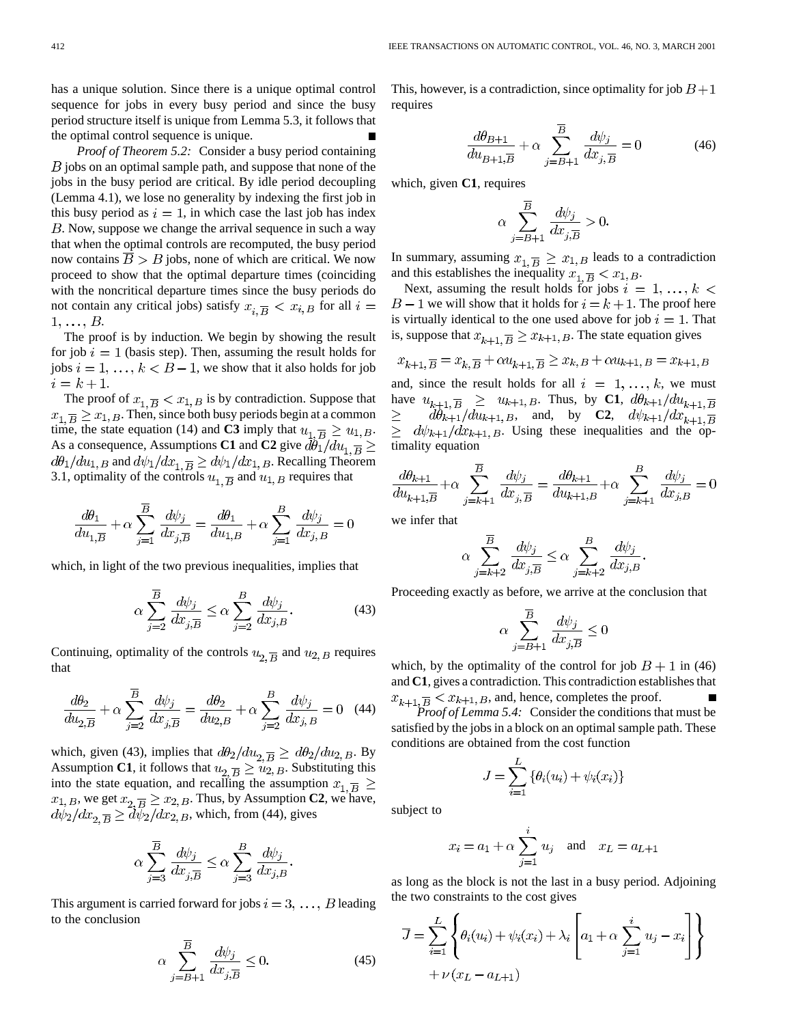has a unique solution. Since there is a unique optimal control sequence for jobs in every busy period and since the busy period structure itself is unique from Lemma 5.3, it follows that the optimal control sequence is unique.

*Proof of Theorem 5.2:* Consider a busy period containing  $B$  jobs on an optimal sample path, and suppose that none of the jobs in the busy period are critical. By idle period decoupling (Lemma 4.1), we lose no generality by indexing the first job in this busy period as  $i = 1$ , in which case the last job has index . Now, suppose we change the arrival sequence in such a way that when the optimal controls are recomputed, the busy period now contains  $B > B$  jobs, none of which are critical. We now proceed to show that the optimal departure times (coinciding with the noncritical departure times since the busy periods do not contain any critical jobs) satisfy  $x_{i,\overline{B}} < x_{i,B}$  for all  $i =$  $1, \ldots, B$ .

The proof is by induction. We begin by showing the result for job  $i = 1$  (basis step). Then, assuming the result holds for jobs  $i = 1, \ldots, k < B - 1$ , we show that it also holds for job  $i = k + 1.$ 

The proof of  $x_{1,\overline{B}} < x_{1,B}$  is by contradiction. Suppose that  $x_{1,\overline{B}} \geq x_{1,\overline{B}}$ . Then, since both busy periods begin at a common time, the state equation (14) and **C3** imply that  $u_{1,\overline{B}} \geq u_{1,B}$ . As a consequence, Assumptions **C1** and **C2** give  $d\theta_1 / du_{1,\overline{B}} \ge$  $d\theta_1/du_{1, B}$  and  $d\psi_1/dx_{1, B} \ge d\psi_1/dx_{1, B}$ . Recalling Theorem 3.1, optimality of the controls  $u_{1,\overline{B}}$  and  $u_{1,B}$  requires that

$$
\frac{d\theta_1}{du_{1,\overline{B}}} + \alpha \sum_{j=1}^{B} \frac{d\psi_j}{dx_{j,\overline{B}}} = \frac{d\theta_1}{du_{1,B}} + \alpha \sum_{j=1}^{B} \frac{d\psi_j}{dx_{j,B}} = 0
$$

which, in light of the two previous inequalities, implies that

$$
\alpha \sum_{j=2}^{\overline{B}} \frac{d\psi_j}{dx_{j,\overline{B}}} \le \alpha \sum_{j=2}^B \frac{d\psi_j}{dx_{j,B}}.
$$
 (43)

Continuing, optimality of the controls  $u_{2,\overline{B}}$  and  $u_{2,B}$  requires that

$$
\frac{d\theta_2}{du_{2,\overline{B}}} + \alpha \sum_{j=2}^{B} \frac{d\psi_j}{dx_{j,\overline{B}}} = \frac{d\theta_2}{du_{2,B}} + \alpha \sum_{j=2}^{B} \frac{d\psi_j}{dx_{j,B}} = 0 \quad (44)
$$

which, given (43), implies that  $d\theta_2/du_{2,\overline{B}} \ge d\theta_2/du_{2,B}$ . By Assumption **C1**, it follows that  $u_{2,\overline{B}} \geq u_{2,B}$ . Substituting this into the state equation, and recalling the assumption  $x_{1,\overline{B}} \ge$ , we get  $x_2 \overline{B} \ge x_{2,B}$ . Thus, by Assumption **C2**, we have, , which, from (44), gives

$$
\alpha \sum_{j=3}^{\overline{B}} \frac{d\psi_j}{dx_{j,\overline{B}}} \le \alpha \sum_{j=3}^B \frac{d\psi_j}{dx_{j,B}}.
$$

This argument is carried forward for jobs  $i = 3, \ldots, B$  leading to the conclusion

$$
\alpha \sum_{j=B+1}^{\overline{B}} \frac{d\psi_j}{dx_{j,\overline{B}}} \le 0. \tag{45}
$$

This, however, is a contradiction, since optimality for job  $B+1$ requires

$$
\frac{d\theta_{B+1}}{du_{B+1,\overline{B}}} + \alpha \sum_{j=B+1}^{\overline{B}} \frac{d\psi_j}{dx_{j,\overline{B}}} = 0
$$
 (46)

which, given **C1**, requires

$$
\alpha \sum_{j=B+1}^{\overline{B}} \frac{d\psi_j}{dx_{j,\overline{B}}} > 0.
$$

In summary, assuming  $x_{1,\overline{B}} \geq x_{1,B}$  leads to a contradiction and this establishes the inequality  $x_{1,\overline{B}} < x_{1,B}$ .

Next, assuming the result holds for jobs  $i = 1, ..., k <$  $B-1$  we will show that it holds for  $i = k + 1$ . The proof here is virtually identical to the one used above for job  $i = 1$ . That is, suppose that  $x_{k+1}$ ,  $\overline{B} \ge x_{k+1}$ ,  $B$ . The state equation gives

$$
x_{k+1,\overline{B}} = x_{k,\overline{B}} + \alpha u_{k+1,\overline{B}} \ge x_{k,B} + \alpha u_{k+1,B} = x_{k+1,B}
$$

and, since the result holds for all  $i = 1, \ldots, k$ , we must have  $u_{k+1,\overline{B}} \geq u_{k+1,B}$ . Thus, by **C1**,  $d\theta_{k+1}/du_{k+1,\overline{B}}$  $d\theta_{k+1}/du_{k+1, B}$ , and, by **C2**,  $d\psi_{k+1}/dx_{k+1, \overline{B}}$  $\geq$  $d\psi_{k+1}/dx_{k+1, B}$ . Using these inequalities and the optimality equation

$$
\frac{d\theta_{k+1}}{du_{k+1,\overline{B}}} + \alpha \sum_{j=k+1}^{\overline{B}} \frac{d\psi_j}{dx_{j,\overline{B}}} = \frac{d\theta_{k+1}}{du_{k+1,B}} + \alpha \sum_{j=k+1}^B \frac{d\psi_j}{dx_{j,B}} = 0
$$

we infer that

$$
\alpha \sum_{j=k+2}^{\overline{B}} \frac{d\psi_j}{dx_{j,\overline{B}}} \le \alpha \sum_{j=k+2}^B \frac{d\psi_j}{dx_{j,B}}.
$$

Proceeding exactly as before, we arrive at the conclusion that

$$
\alpha \sum_{j=B+1}^{B} \frac{d\psi_j}{dx_{j,\overline{B}}} \le 0
$$

which, by the optimality of the control for job  $B + 1$  in (46) and **C1**, gives a contradiction. This contradiction establishes that  $x_{k+1}$ ,  $\overline{B}$  <  $x_{k+1}$ ,  $B$ , and, hence, completes the proof.

*Proof of Lemma 5.4:* Consider the conditions that must be satisfied by the jobs in a block on an optimal sample path. These conditions are obtained from the cost function

$$
J = \sum_{i=1}^{L} \{ \theta_i(u_i) + \psi_i(x_i) \}
$$

subject to

$$
x_i = a_1 + \alpha \sum_{j=1}^{i} u_j
$$
 and  $x_L = a_{L+1}$ 

as long as the block is not the last in a busy period. Adjoining the two constraints to the cost gives

$$
\overline{J} = \sum_{i=1}^{L} \left\{ \theta_i(u_i) + \psi_i(x_i) + \lambda_i \left[ a_1 + \alpha \sum_{j=1}^{i} u_j - x_i \right] \right\}
$$
  
+  $\nu (x_L - a_{L+1})$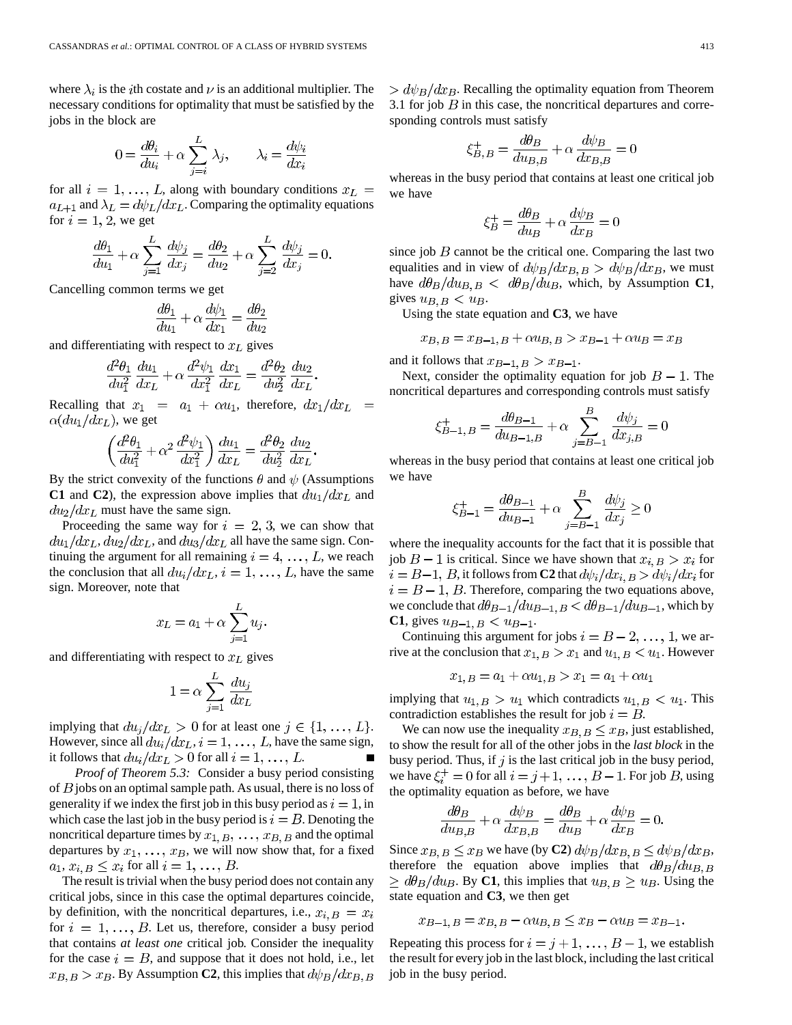where  $\lambda_i$  is the *i*th costate and  $\nu$  is an additional multiplier. The necessary conditions for optimality that must be satisfied by the jobs in the block are

$$
0 = \frac{d\theta_i}{du_i} + \alpha \sum_{j=i}^{L} \lambda_j, \qquad \lambda_i = \frac{d\psi_i}{dx_i}
$$

for all  $i = 1, ..., L$ , along with boundary conditions  $x_L =$  $a_{L+1}$  and  $\lambda_L = d\psi_L/dx_L$ . Comparing the optimality equations for  $i = 1, 2$ , we get

$$
\frac{d\theta_1}{du_1} + \alpha \sum_{j=1}^L \frac{d\psi_j}{dx_j} = \frac{d\theta_2}{du_2} + \alpha \sum_{j=2}^L \frac{d\psi_j}{dx_j} = 0.
$$

Cancelling common terms we get

$$
\frac{d\theta_1}{du_1} + \alpha \frac{d\psi_1}{dx_1} = \frac{d\theta_2}{du_2}
$$

and differentiating with respect to  $x<sub>L</sub>$  gives

$$
\frac{d^2\theta_1}{du_1^2}\frac{du_1}{dx_L} + \alpha \frac{d^2\psi_1}{dx_1^2}\frac{dx_1}{dx_L} = \frac{d^2\theta_2}{du_2^2}\frac{du_2}{dx_L}.
$$

Recalling that  $x_1 = a_1 + \alpha u_1$ , therefore,  $dx_1/dx_L =$  $\alpha(du_1/dx_L)$ , we get

$$
\left(\frac{d^2\theta_1}{du_1^2} + \alpha^2 \frac{d^2\psi_1}{dx_1^2}\right) \frac{du_1}{dx_L} = \frac{d^2\theta_2}{du_2^2} \frac{du_2}{dx_L}
$$

By the strict convexity of the functions  $\theta$  and  $\psi$  (Assumptions **C1** and **C2**), the expression above implies that  $du_1/dx_L$  and  $du_2/dx_L$  must have the same sign.

Proceeding the same way for  $i = 2, 3$ , we can show that  $du_1/dx_L, du_2/dx_L$ , and  $du_3/dx_L$  all have the same sign. Continuing the argument for all remaining  $i = 4, \ldots, L$ , we reach the conclusion that all  $du_i/dx_L$ ,  $i = 1, \ldots, L$ , have the same sign. Moreover, note that

$$
x_L = a_1 + \alpha \sum_{j=1}^L u_j.
$$

and differentiating with respect to  $x<sub>L</sub>$  gives

$$
1 = \alpha \sum_{j=1}^{L} \frac{du_j}{dx_L}
$$

implying that  $du_j/dx_L > 0$  for at least one  $j \in \{1, ..., L\}$ . However, since all  $du_i/dx_L$ ,  $i = 1, ..., L$ , have the same sign, it follows that  $du_i/dx_L > 0$  for all  $i = 1, ..., L$ .

*Proof of Theorem 5.3:* Consider a busy period consisting of  $B$  jobs on an optimal sample path. As usual, there is no loss of generality if we index the first job in this busy period as  $i = 1$ , in which case the last job in the busy period is  $i = B$ . Denoting the noncritical departure times by  $x_{1, B}$ , ...,  $x_{B, B}$  and the optimal departures by  $x_1, \ldots, x_B$ , we will now show that, for a fixed  $a_1, x_{i,B} \leq x_i$  for all  $i = 1, \ldots, B$ .

The result is trivial when the busy period does not contain any critical jobs, since in this case the optimal departures coincide, by definition, with the noncritical departures, i.e.,  $x_i$ ,  $B = x_i$ for  $i = 1, \ldots, B$ . Let us, therefore, consider a busy period that contains *at least one* critical job. Consider the inequality for the case  $i = B$ , and suppose that it does not hold, i.e., let  $x_{B,B} > x_B$ . By Assumption **C2**, this implies that  $d\psi_B/dx_{B,B}$   $> d\psi_B/dx_B$ . Recalling the optimality equation from Theorem 3.1 for job  $B$  in this case, the noncritical departures and corresponding controls must satisfy

$$
\xi_{B,B}^{+} = \frac{d\theta_B}{du_{B,B}} + \alpha \frac{d\psi_B}{dx_{B,B}} = 0
$$

whereas in the busy period that contains at least one critical job we have

$$
\xi_B^+ = \frac{d\theta_B}{du_B} + \alpha \frac{d\psi_B}{dx_B} = 0
$$

since job  $B$  cannot be the critical one. Comparing the last two equalities and in view of  $d\psi_B/dx_{B,B} > d\psi_B/dx_B$ , we must have  $d\theta_B/du_{B,B} < d\theta_B/du_{B}$ , which, by Assumption **C1**, gives  $u_{B,B} < u_B$ .

Using the state equation and **C3**, we have

$$
x_{B,B} = x_{B-1,B} + \alpha u_{B,B} > x_{B-1} + \alpha u_B = x_B
$$

and it follows that  $x_{B-1,B} > x_{B-1}$ .

Next, consider the optimality equation for job  $B - 1$ . The noncritical departures and corresponding controls must satisfy

$$
\xi_{B-1,B}^{+} = \frac{d\theta_{B-1}}{du_{B-1,B}} + \alpha \sum_{j=B-1}^{B} \frac{d\psi_{j}}{dx_{j,B}} = 0
$$

whereas in the busy period that contains at least one critical job we have

$$
\xi_{B-1}^{+} = \frac{d\theta_{B-1}}{du_{B-1}} + \alpha \sum_{j=B-1}^{B} \frac{d\psi_{j}}{dx_{j}} \ge 0
$$

where the inequality accounts for the fact that it is possible that job  $B-1$  is critical. Since we have shown that  $x_{i,B} > x_i$  for  $i = B-1$ , B, it follows from **C2** that  $d\psi_i/dx_i$ ,  $B > d\psi_i/dx_i$  for  $i = B - 1$ , B. Therefore, comparing the two equations above, we conclude that  $d\theta_{B-1}/du_{B-1}$ ,  $B < d\theta_{B-1}/du_{B-1}$ , which by **C1**, gives  $u_{B-1,B} < u_{B-1}$ .

Continuing this argument for jobs  $i = B - 2, \ldots, 1$ , we arrive at the conclusion that  $x_{1, B} > x_1$  and  $u_{1, B} < u_1$ . However

$$
x_{1, B} = a_1 + \alpha u_{1, B} > x_1 = a_1 + \alpha u_1
$$

implying that  $u_{1, B} > u_1$  which contradicts  $u_{1, B} < u_1$ . This contradiction establishes the result for job  $i = B$ .

We can now use the inequality  $x_{B,B} \leq x_B$ , just established, to show the result for all of the other jobs in the *last block* in the busy period. Thus, if  $j$  is the last critical job in the busy period, we have  $\xi_i^+ = 0$  for all  $i = j+1, \ldots, B-1$ . For job B, using the optimality equation as before, we have

$$
\frac{d\theta_B}{du_{B,B}} + \alpha \frac{d\psi_B}{dx_{B,B}} = \frac{d\theta_B}{du_B} + \alpha \frac{d\psi_B}{dx_B} = 0.
$$

Since  $x_{B,B} \le x_B$  we have (by **C2**)  $d\psi_B/dx_{B,B} \le d\psi_B/dx_B$ , therefore the equation above implies that  $d\theta_B/du_{B,B}$  $\geq d\theta_B/du_B$ . By C1, this implies that  $u_{B,B} \geq u_B$ . Using the state equation and **C3**, we then get

$$
x_{B-1,B} = x_{B,B} - \alpha u_{B,B} \le x_B - \alpha u_B = x_{B-1}.
$$

Repeating this process for  $i = j + 1, \ldots, B - 1$ , we establish the result for every job in the last block, including the last critical job in the busy period.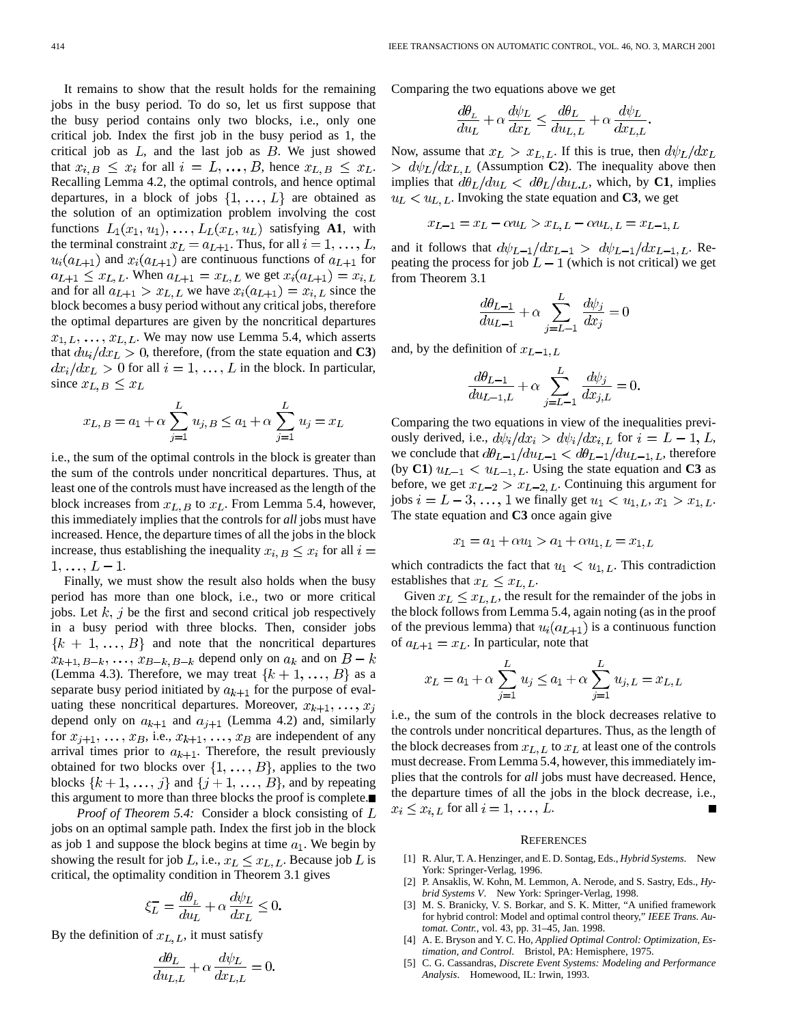It remains to show that the result holds for the remaining jobs in the busy period. To do so, let us first suppose that the busy period contains only two blocks, i.e., only one critical job. Index the first job in the busy period as 1, the critical job as  $L$ , and the last job as  $B$ . We just showed that  $x_{i, B} \leq x_i$  for all  $i = L, ..., B$ , hence  $x_{L, B} \leq x_{L}$ . Recalling Lemma 4.2, the optimal controls, and hence optimal departures, in a block of jobs  $\{1, \ldots, L\}$  are obtained as the solution of an optimization problem involving the cost functions  $L_1(x_1, u_1), \ldots, L_L(x_L, u_L)$  satisfying **A1**, with the terminal constraint  $x_L = a_{L+1}$ . Thus, for all  $i = 1, \ldots, L$ ,  $u_i(a_{L+1})$  and  $x_i(a_{L+1})$  are continuous functions of  $a_{L+1}$  for  $a_{L+1} \leq x_{L,L}$ . When  $a_{L+1} = x_{L,L}$  we get  $x_i(a_{L+1}) = x_{i,L}$ and for all  $a_{L+1} > x_{L,L}$  we have  $x_i(a_{L+1}) = x_{i,L}$  since the block becomes a busy period without any critical jobs, therefore the optimal departures are given by the noncritical departures  $x_{1, L}, \ldots, x_{L, L}$ . We may now use Lemma 5.4, which asserts that  $du_i/dx_L > 0$ , therefore, (from the state equation and **C3**)  $dx_i/dx_L > 0$  for all  $i = 1, ..., L$  in the block. In particular, since  $x_{L,B} \leq x_L$ 

$$
x_{L,B} = a_1 + \alpha \sum_{j=1}^{L} u_{j,B} \le a_1 + \alpha \sum_{j=1}^{L} u_j = x_L
$$

i.e., the sum of the optimal controls in the block is greater than the sum of the controls under noncritical departures. Thus, at least one of the controls must have increased as the length of the block increases from  $x_L$ ,  $B$  to  $x_L$ . From Lemma 5.4, however, this immediately implies that the controls for *all* jobs must have increased. Hence, the departure times of all the jobs in the block increase, thus establishing the inequality  $x_{i,B} \leq x_i$  for all  $i =$  $1, \ldots, L-1.$ 

Finally, we must show the result also holds when the busy period has more than one block, i.e., two or more critical jobs. Let  $k$ ,  $j$  be the first and second critical job respectively in a busy period with three blocks. Then, consider jobs  ${k + 1, ..., B}$  and note that the noncritical departures  $x_{k+1, B-k}, \ldots, x_{B-k, B-k}$  depend only on  $a_k$  and on  $B - k$ (Lemma 4.3). Therefore, we may treat  $\{k+1, \ldots, B\}$  as a separate busy period initiated by  $a_{k+1}$  for the purpose of evaluating these noncritical departures. Moreover,  $x_{k+1}, \ldots, x_i$ depend only on  $a_{k+1}$  and  $a_{j+1}$  (Lemma 4.2) and, similarly for  $x_{j+1}, \ldots, x_B$ , i.e.,  $x_{k+1}, \ldots, x_B$  are independent of any arrival times prior to  $a_{k+1}$ . Therefore, the result previously obtained for two blocks over  $\{1, \ldots, B\}$ , applies to the two blocks  $\{k+1, \ldots, j\}$  and  $\{j+1, \ldots, B\}$ , and by repeating this argument to more than three blocks the proof is complete.

*Proof of Theorem 5.4:* Consider a block consisting of L jobs on an optimal sample path. Index the first job in the block as job 1 and suppose the block begins at time  $a_1$ . We begin by showing the result for job L, i.e.,  $x_L \leq x_{L,L}$ . Because job L is critical, the optimality condition in Theorem 3.1 gives

$$
\xi_L^- = \frac{d\theta_L}{du_L} + \alpha \frac{d\psi_L}{dx_L} \le 0
$$

By the definition of  $x_{L,L}$ , it must satisfy

$$
\frac{d\theta_L}{du_{L,L}} + \alpha \frac{d\psi_L}{dx_{L,L}} = 0.
$$

Comparing the two equations above we get

$$
\frac{d\theta_L}{du_L} + \alpha \frac{d\psi_L}{dx_L} \le \frac{d\theta_L}{du_{L,L}} + \alpha \frac{d\psi_L}{dx_{L,L}}
$$

Now, assume that  $x_L > x_{L,L}$ . If this is true, then  $d\psi_L/dx_L$  $> d\psi_L/dx_{L,L}$  (Assumption **C2**). The inequality above then implies that  $d\theta_L / du_L < d\theta_L / du_{L,L}$ , which, by **C1**, implies  $u_L < u_{L,L}$ . Invoking the state equation and **C3**, we get

$$
x_{L-1} = x_L - \alpha u_L > x_{L,L} - \alpha u_{L,L} = x_{L-1,L}
$$

and it follows that  $d\psi_{L-1}/dx_{L-1} > d\psi_{L-1}/dx_{L-1,L}$ . Repeating the process for job  $L-1$  (which is not critical) we get from Theorem 3.1

$$
\frac{d\theta_{L-1}}{du_{L-1}} + \alpha \sum_{j=L-1}^{L} \frac{d\psi_j}{dx_j} = 0
$$

and, by the definition of  $x_{L-1,L}$ 

$$
\frac{d\theta_{L-1}}{du_{L-1,L}} + \alpha \sum_{j=L-1}^{L} \frac{d\psi_j}{dx_{j,L}} = 0.
$$

Comparing the two equations in view of the inequalities previously derived, i.e.,  $d\psi_i/dx_i > d\psi_i/dx_i$ , for  $i = L - 1, L$ , we conclude that  $d\theta_{L-1}/du_{L-1} < d\theta_{L-1}/du_{L-1,L}$ , therefore (by C1)  $u_{L-1} < u_{L-1,L}$ . Using the state equation and C3 as before, we get  $x_{L-2} > x_{L-2, L}$ . Continuing this argument for jobs  $i = L - 3, ..., 1$  we finally get  $u_1 < u_{1,L}, x_1 > x_{1,L}$ . The state equation and **C3** once again give

$$
x_1 = a_1 + \alpha u_1 > a_1 + \alpha u_1, L = x_1, L
$$

which contradicts the fact that  $u_1 < u_1$ . This contradiction establishes that  $x_L \leq x_{L,L}$ .

Given  $x_L \leq x_{L,L}$ , the result for the remainder of the jobs in the block follows from Lemma 5.4, again noting (as in the proof of the previous lemma) that  $u_i(a_{L+1})$  is a continuous function of  $a_{L+1} = x_L$ . In particular, note that

$$
x_L = a_1 + \alpha \sum_{j=1}^{L} u_j \le a_1 + \alpha \sum_{j=1}^{L} u_{j,L} = x_{L,L}
$$

i.e., the sum of the controls in the block decreases relative to the controls under noncritical departures. Thus, as the length of the block decreases from  $x_{L,L}$  to  $x_{L}$  at least one of the controls must decrease. From Lemma 5.4, however, this immediately implies that the controls for *all* jobs must have decreased. Hence, the departure times of all the jobs in the block decrease, i.e.,  $x_i \leq x_{i,L}$  for all  $i = 1, \ldots, L$ .

#### **REFERENCES**

- [1] R. Alur, T. A. Henzinger, and E. D. Sontag, Eds., *Hybrid Systems*. New York: Springer-Verlag, 1996.
- [2] P. Ansaklis, W. Kohn, M. Lemmon, A. Nerode, and S. Sastry, Eds., *Hybrid Systems V*. New York: Springer-Verlag, 1998.
- [3] M. S. Branicky, V. S. Borkar, and S. K. Mitter, "A unified framework for hybrid control: Model and optimal control theory," *IEEE Trans. Automat. Contr.*, vol. 43, pp. 31–45, Jan. 1998.
- [4] A. E. Bryson and Y. C. Ho, *Applied Optimal Control: Optimization, Estimation, and Control*. Bristol, PA: Hemisphere, 1975.
- [5] C. G. Cassandras, *Discrete Event Systems: Modeling and Performance Analysis*. Homewood, IL: Irwin, 1993.